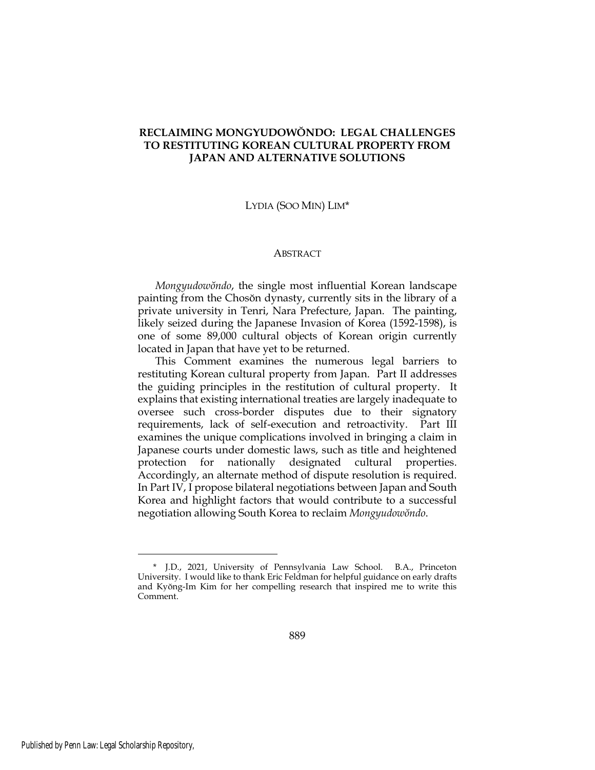# **RECLAIMING MONGYUDOWŎNDO: LEGAL CHALLENGES TO RESTITUTING KOREAN CULTURAL PROPERTY FROM JAPAN AND ALTERNATIVE SOLUTIONS**

LYDIA (SOO MIN) LIM\*

#### **ABSTRACT**

*Mongyudowŏndo*, the single most influential Korean landscape painting from the Chosŏn dynasty, currently sits in the library of a private university in Tenri, Nara Prefecture, Japan. The painting, likely seized during the Japanese Invasion of Korea (1592-1598), is one of some 89,000 cultural objects of Korean origin currently located in Japan that have yet to be returned.

This Comment examines the numerous legal barriers to restituting Korean cultural property from Japan. Part II addresses the guiding principles in the restitution of cultural property. It explains that existing international treaties are largely inadequate to oversee such cross-border disputes due to their signatory requirements, lack of self-execution and retroactivity. Part III examines the unique complications involved in bringing a claim in Japanese courts under domestic laws, such as title and heightened protection for nationally designated cultural properties. Accordingly, an alternate method of dispute resolution is required. In Part IV, I propose bilateral negotiations between Japan and South Korea and highlight factors that would contribute to a successful negotiation allowing South Korea to reclaim *Mongyudowŏndo*.

<sup>\*</sup> J.D., 2021, University of Pennsylvania Law School. B.A., Princeton University. I would like to thank Eric Feldman for helpful guidance on early drafts and Kyŏng-Im Kim for her compelling research that inspired me to write this Comment.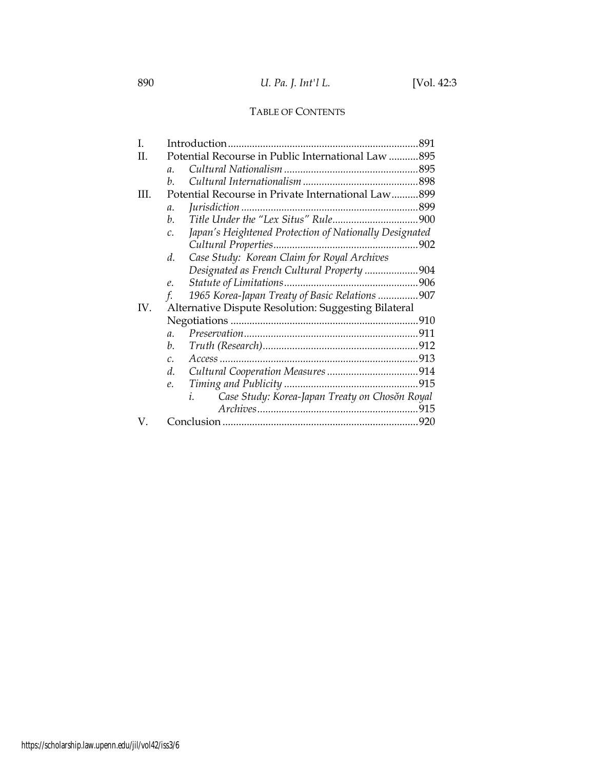# TABLE OF CONTENTS

| L   |                                                                           |  |
|-----|---------------------------------------------------------------------------|--|
| H.  | Potential Recourse in Public International Law 895                        |  |
|     | $\mathfrak{a}$ .                                                          |  |
|     | $h_{\cdot}$                                                               |  |
| HL. | Potential Recourse in Private International Law899                        |  |
|     | $\mathfrak{a}.$                                                           |  |
|     | b.                                                                        |  |
|     | Japan's Heightened Protection of Nationally Designated<br>$\mathcal{C}$ . |  |
|     |                                                                           |  |
|     | Case Study: Korean Claim for Royal Archives<br>d.                         |  |
|     | Designated as French Cultural Property 904                                |  |
|     | e.                                                                        |  |
|     | 1965 Korea-Japan Treaty of Basic Relations 907<br>f.                      |  |
| IV. | Alternative Dispute Resolution: Suggesting Bilateral                      |  |
|     |                                                                           |  |
|     | $\mathfrak{a}$ .                                                          |  |
|     | b.                                                                        |  |
|     | $\mathcal{C}$ .                                                           |  |
|     | d.                                                                        |  |
|     | e.                                                                        |  |
|     | Case Study: Korea-Japan Treaty on Chosŏn Royal<br>i.                      |  |
|     |                                                                           |  |
| V.  |                                                                           |  |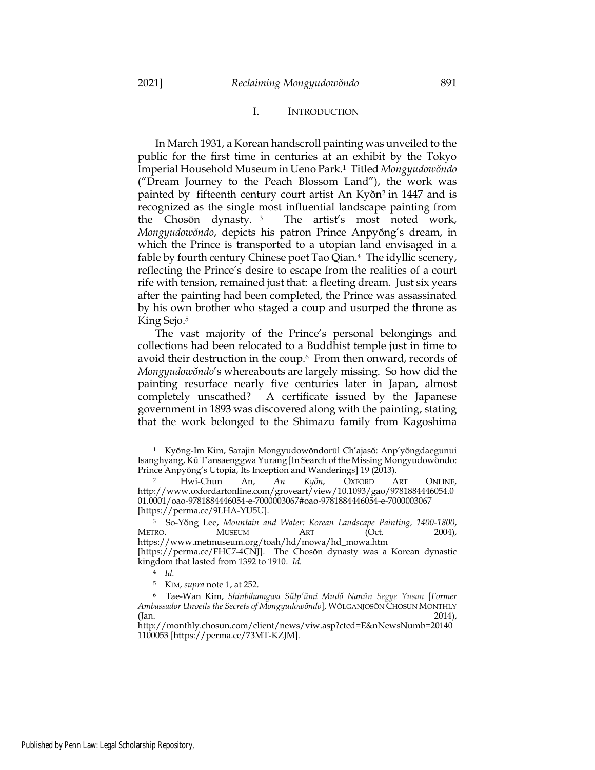# <span id="page-2-1"></span><span id="page-2-0"></span>I. INTRODUCTION

In March 1931, a Korean handscroll painting was unveiled to the public for the first time in centuries at an exhibit by the Tokyo Imperial Household Museum in Ueno Park.<sup>1</sup> Titled *Mongyudowŏndo* ("Dream Journey to the Peach Blossom Land"), the work was painted by fifteenth century court artist An Kyŏn<sup>2</sup> in 1447 and is recognized as the single most influential landscape painting from the Chosŏn dynasty. <sup>3</sup> The artist's most noted work, *Mongyudowŏndo*, depicts his patron Prince Anpyŏng's dream, in which the Prince is transported to a utopian land envisaged in a fable by fourth century Chinese poet Tao Qian.<sup>4</sup> The idyllic scenery, reflecting the Prince's desire to escape from the realities of a court rife with tension, remained just that: a fleeting dream. Just six years after the painting had been completed, the Prince was assassinated by his own brother who staged a coup and usurped the throne as King Sejo.<sup>5</sup>

The vast majority of the Prince's personal belongings and collections had been relocated to a Buddhist temple just in time to avoid their destruction in the coup.<sup>6</sup> From then onward, records of *Mongyudowŏndo*'s whereabouts are largely missing. So how did the painting resurface nearly five centuries later in Japan, almost completely unscathed? A certificate issued by the Japanese government in 1893 was discovered along with the painting, stating that the work belonged to the Shimazu family from Kagoshima

<sup>1</sup> Kyŏng-Im Kim, Sarajin Mongyudowŏndorūl Ch'ajasŏ: Anp'yŏngdaegunui Isanghyang, Kū T'ansaenggwa Yurang [In Search of the Missing Mongyudowŏndo: Prince Anpyŏng's Utopia, Its Inception and Wanderings] 19 (2013).

<sup>2</sup> Hwi-Chun An, *An Kyŏn*, OXFORD ART ONLINE, http://www.oxfordartonline.com/groveart/view/10.1093/gao/9781884446054.0 01.0001/oao-9781884446054-e-7000003067#oao-9781884446054-e-7000003067 [https://perma.cc/9LHA-YU5U].

<sup>3</sup> So-Yŏng Lee, *Mountain and Water: Korean Landscape Painting, 1400-1800*, METRO. MUSEUM ART (Oct. 2004), https://www.metmuseum.org/toah/hd/mowa/hd\_mowa.htm [https://perma.cc/FHC7-4CNJ]. The Chosŏn dynasty was a Korean dynastic kingdom that lasted from 1392 to 1910. *Id.*

<sup>4</sup> *Id.*

<sup>5</sup> KIM, *supra* note [1,](#page-2-0) at 252.

<sup>6</sup> Tae-Wan Kim, *Shinbihamgwa Sŭlp'ŭmi Mudŏ Nanŭn Segye Yusan* [*Former Ambassador Unveils the Secrets of Mongyudowŏndo*], WŎLGANJOSŎN CHOSUN MONTHLY  $($ ]an. 2014),  $)$ 

http://monthly.chosun.com/client/news/viw.asp?ctcd=E&nNewsNumb=20140 1100053 [https://perma.cc/73MT-KZJM].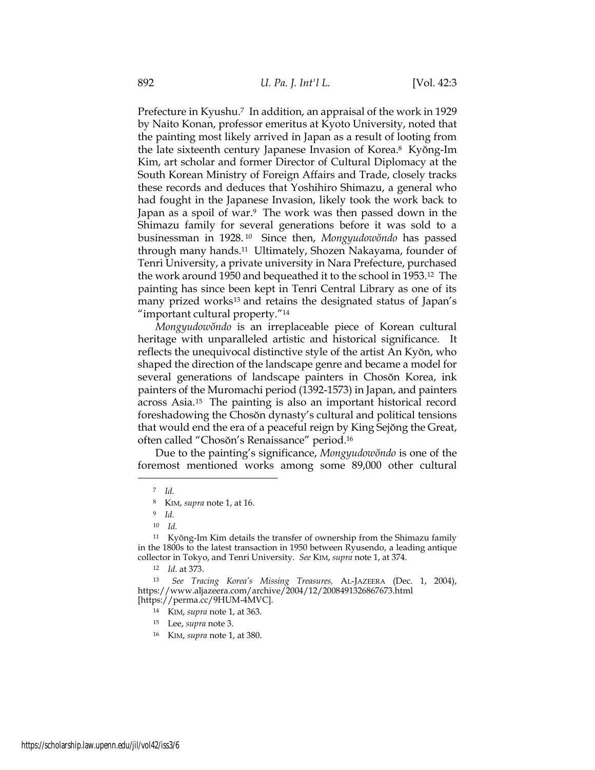Prefecture in Kyushu.<sup>7</sup> In addition, an appraisal of the work in 1929 by Naito Konan, professor emeritus at Kyoto University, noted that the painting most likely arrived in Japan as a result of looting from the late sixteenth century Japanese Invasion of Korea.<sup>8</sup> Kyŏng-Im Kim, art scholar and former Director of Cultural Diplomacy at the South Korean Ministry of Foreign Affairs and Trade, closely tracks these records and deduces that Yoshihiro Shimazu, a general who had fought in the Japanese Invasion, likely took the work back to Japan as a spoil of war.<sup>9</sup> The work was then passed down in the Shimazu family for several generations before it was sold to a businessman in 1928. <sup>10</sup> Since then, *Mongyudowŏndo* has passed through many hands.11 Ultimately, Shozen Nakayama, founder of Tenri University, a private university in Nara Prefecture, purchased the work around 1950 and bequeathed it to the school in 1953.<sup>12</sup> The painting has since been kept in Tenri Central Library as one of its many prized works<sup>13</sup> and retains the designated status of Japan's "important cultural property."<sup>14</sup>

*Mongyudowŏndo* is an irreplaceable piece of Korean cultural heritage with unparalleled artistic and historical significance. It reflects the unequivocal distinctive style of the artist An Kyŏn, who shaped the direction of the landscape genre and became a model for several generations of landscape painters in Chosŏn Korea, ink painters of the Muromachi period (1392-1573) in Japan, and painters across Asia.15 The painting is also an important historical record foreshadowing the Chosŏn dynasty's cultural and political tensions that would end the era of a peaceful reign by King Sejŏng the Great, often called "Chosŏn's Renaissance" period.<sup>16</sup>

Due to the painting's significance, *Mongyudowŏndo* is one of the foremost mentioned works among some 89,000 other cultural

- <sup>15</sup> Lee, *supra* not[e 3.](#page-2-1)
- <sup>16</sup> KIM, *supra* note [1,](#page-2-0) at 380.

<sup>7</sup> *Id.*

<sup>8</sup> KIM, *supra* note [1,](#page-2-0) at 16.

<sup>9</sup> *Id.*

<sup>10</sup> *Id.*

<sup>&</sup>lt;sup>11</sup> Kyŏng-Im Kim details the transfer of ownership from the Shimazu family in the 1800s to the latest transaction in 1950 between Ryusendo, a leading antique collector in Tokyo, and Tenri University. *See* KIM, *supra* not[e 1,](#page-2-0) at 374.

<sup>12</sup> *Id*. at 373.

<sup>13</sup> *See Tracing Korea's Missing Treasures,* AL-JAZEERA (Dec. 1, 2004), https://www.aljazeera.com/archive/2004/12/2008491326867673.html [https://perma.cc/9HUM-4MVC].

<sup>14</sup> KIM, *supra* note [1,](#page-2-0) at 363.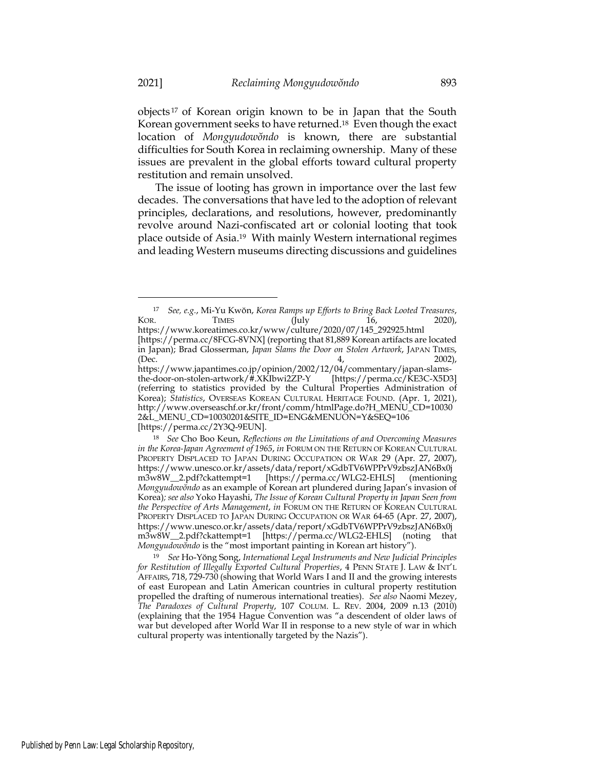<span id="page-4-0"></span>objects <sup>17</sup> of Korean origin known to be in Japan that the South Korean government seeks to have returned.<sup>18</sup> Even though the exact location of *Mongyudowŏndo* is known, there are substantial difficulties for South Korea in reclaiming ownership. Many of these issues are prevalent in the global efforts toward cultural property restitution and remain unsolved.

<span id="page-4-1"></span>The issue of looting has grown in importance over the last few decades. The conversations that have led to the adoption of relevant principles, declarations, and resolutions, however, predominantly revolve around Nazi-confiscated art or colonial looting that took place outside of Asia. <sup>19</sup> With mainly Western international regimes and leading Western museums directing discussions and guidelines

[https://perma.cc/2Y3Q-9EUN].

<sup>17</sup> *See, e.g.*, Mi-Yu Kwŏn, *Korea Ramps up Efforts to Bring Back Looted Treasures*, KOR. TIMES (July 16, 2020), https://www.koreatimes.co.kr/www/culture/2020/07/145\_292925.html [https://perma.cc/8FCG-8VNX] (reporting that 81,889 Korean artifacts are located in Japan); Brad Glosserman, *Japan Slams the Door on Stolen Artwork*, JAPAN TIMES, (Dec. 4, 2002), https://www.japantimes.co.jp/opinion/2002/12/04/commentary/japan-slamsthe-door-on-stolen-artwork/#.XKIbwi2ZP-Y [https://perma.cc/KE3C-X5D3] (referring to statistics provided by the Cultural Properties Administration of Korea); *Statistics*, OVERSEAS KOREAN CULTURAL HERITAGE FOUND. (Apr. 1, 2021), http://www.overseaschf.or.kr/front/comm/htmlPage.do?H\_MENU\_CD=10030 2&L\_MENU\_CD=10030201&SITE\_ID=ENG&MENUON=Y&SEQ=106

<sup>18</sup> *See* Cho Boo Keun, *Reflections on the Limitations of and Overcoming Measures in the Korea-Japan Agreement of 1965*, *in* FORUM ON THE RETURN OF KOREAN CULTURAL PROPERTY DISPLACED TO JAPAN DURING OCCUPATION OR WAR 29 (Apr. 27, 2007), https://www.unesco.or.kr/assets/data/report/xGdbTV6WPPrV9zbszJAN6Bx0j m3w8W\_\_2.pdf?ckattempt=1 [https://perma.cc/WLG2-EHLS] (mentioning *Mongyudowŏndo* as an example of Korean art plundered during Japan's invasion of Korea)*; see also* Yoko Hayashi, *The Issue of Korean Cultural Property in Japan Seen from the Perspective of Arts Management*, *in* FORUM ON THE RETURN OF KOREAN CULTURAL PROPERTY DISPLACED TO JAPAN DURING OCCUPATION OR WAR 64-65 (Apr. 27, 2007), https://www.unesco.or.kr/assets/data/report/xGdbTV6WPPrV9zbszJAN6Bx0j m3w8W\_\_2.pdf?ckattempt=1 [https://perma.cc/WLG2-EHLS] (noting that *Mongyudowŏndo* is the "most important painting in Korean art history").

<sup>19</sup> *See* Ho-Yŏng Song, *International Legal Instruments and New Judicial Principles for Restitution of Illegally Exported Cultural Properties*, 4 PENN STATE J. LAW & INT'L AFFAIRS, 718, 729-730 (showing that World Wars I and II and the growing interests of east European and Latin American countries in cultural property restitution propelled the drafting of numerous international treaties). *See also* Naomi Mezey, *The Paradoxes of Cultural Property*, 107 COLUM. L. REV. 2004, 2009 n.13 (2010) (explaining that the 1954 Hague Convention was "a descendent of older laws of war but developed after World War II in response to a new style of war in which cultural property was intentionally targeted by the Nazis").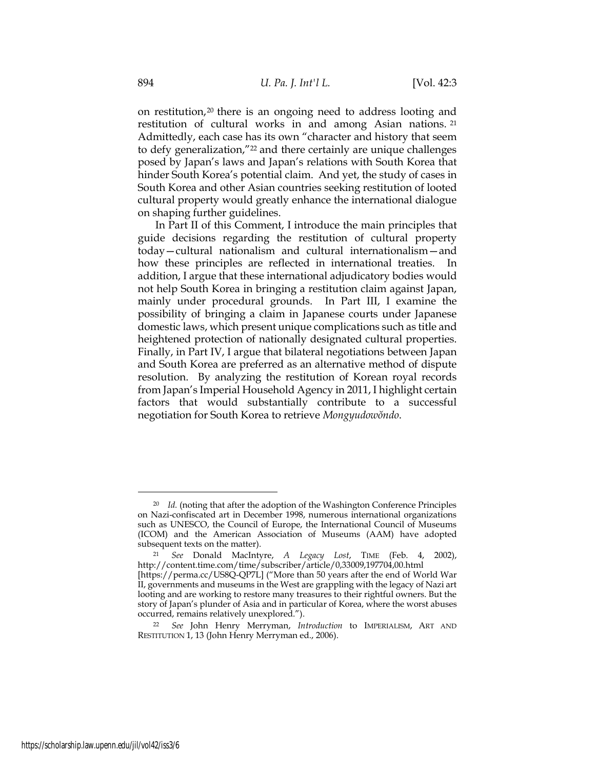<span id="page-5-0"></span>on restitution,<sup>20</sup> there is an ongoing need to address looting and restitution of cultural works in and among Asian nations. <sup>21</sup> Admittedly, each case has its own "character and history that seem to defy generalization,"<sup>22</sup> and there certainly are unique challenges posed by Japan's laws and Japan's relations with South Korea that hinder South Korea's potential claim. And yet, the study of cases in South Korea and other Asian countries seeking restitution of looted cultural property would greatly enhance the international dialogue on shaping further guidelines.

In Part II of this Comment, I introduce the main principles that guide decisions regarding the restitution of cultural property today—cultural nationalism and cultural internationalism—and how these principles are reflected in international treaties. In addition, I argue that these international adjudicatory bodies would not help South Korea in bringing a restitution claim against Japan, mainly under procedural grounds. In Part III, I examine the possibility of bringing a claim in Japanese courts under Japanese domestic laws, which present unique complications such as title and heightened protection of nationally designated cultural properties. Finally, in Part IV, I argue that bilateral negotiations between Japan and South Korea are preferred as an alternative method of dispute resolution. By analyzing the restitution of Korean royal records from Japan's Imperial Household Agency in 2011, I highlight certain factors that would substantially contribute to a successful negotiation for South Korea to retrieve *Mongyudowŏndo*.

<sup>20</sup> *Id.* (noting that after the adoption of the Washington Conference Principles on Nazi-confiscated art in December 1998, numerous international organizations such as UNESCO, the Council of Europe, the International Council of Museums (ICOM) and the American Association of Museums (AAM) have adopted subsequent texts on the matter).

<sup>21</sup> *See* Donald MacIntyre, *A Legacy Lost*, TIME (Feb. 4, 2002), http://content.time.com/time/subscriber/article/0,33009,197704,00.html

<sup>[</sup>https://perma.cc/US8Q-QP7L] ("More than 50 years after the end of World War II, governments and museums in the West are grappling with the legacy of Nazi art looting and are working to restore many treasures to their rightful owners. But the story of Japan's plunder of Asia and in particular of Korea, where the worst abuses occurred, remains relatively unexplored.").

<sup>22</sup> *See* John Henry Merryman, *Introduction* to IMPERIALISM, ART AND RESTITUTION 1, 13 (John Henry Merryman ed., 2006).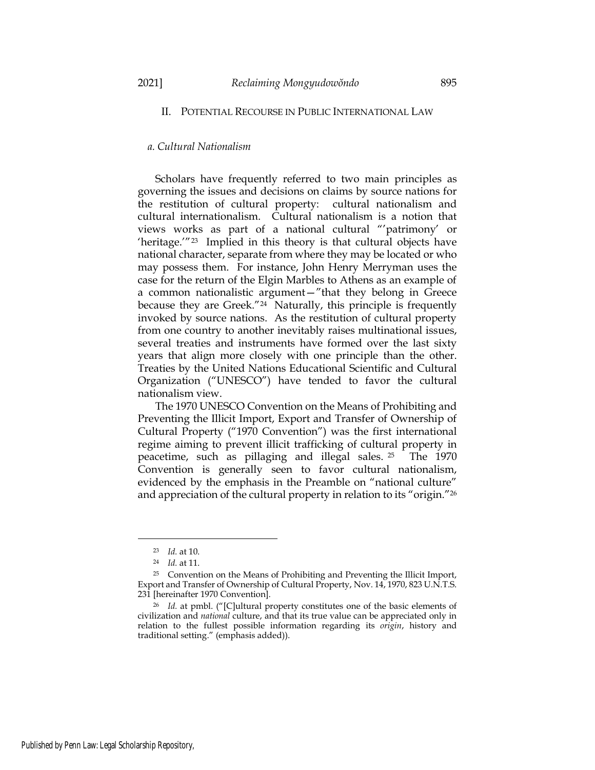# II. POTENTIAL RECOURSE IN PUBLIC INTERNATIONAL LAW

# *a. Cultural Nationalism*

Scholars have frequently referred to two main principles as governing the issues and decisions on claims by source nations for the restitution of cultural property: cultural nationalism and cultural internationalism. Cultural nationalism is a notion that views works as part of a national cultural "'patrimony' or 'heritage.'"<sup>23</sup> Implied in this theory is that cultural objects have national character, separate from where they may be located or who may possess them. For instance, John Henry Merryman uses the case for the return of the Elgin Marbles to Athens as an example of a common nationalistic argument—"that they belong in Greece because they are Greek."24 Naturally, this principle is frequently invoked by source nations. As the restitution of cultural property from one country to another inevitably raises multinational issues, several treaties and instruments have formed over the last sixty years that align more closely with one principle than the other. Treaties by the United Nations Educational Scientific and Cultural Organization ("UNESCO") have tended to favor the cultural nationalism view.

The 1970 UNESCO Convention on the Means of Prohibiting and Preventing the Illicit Import, Export and Transfer of Ownership of Cultural Property ("1970 Convention") was the first international regime aiming to prevent illicit trafficking of cultural property in peacetime, such as pillaging and illegal sales. <sup>25</sup> The 1970 Convention is generally seen to favor cultural nationalism, evidenced by the emphasis in the Preamble on "national culture" and appreciation of the cultural property in relation to its "origin."<sup>26</sup>

<span id="page-6-0"></span><sup>23</sup> *Id.* at 10.

<sup>24</sup> *Id.* at 11.

<sup>25</sup> Convention on the Means of Prohibiting and Preventing the Illicit Import, Export and Transfer of Ownership of Cultural Property, Nov. 14, 1970, 823 U.N.T.S. 231 [hereinafter 1970 Convention].

<sup>26</sup> *Id.* at pmbl. ("[C]ultural property constitutes one of the basic elements of civilization and *national* culture, and that its true value can be appreciated only in relation to the fullest possible information regarding its *origin*, history and traditional setting." (emphasis added)).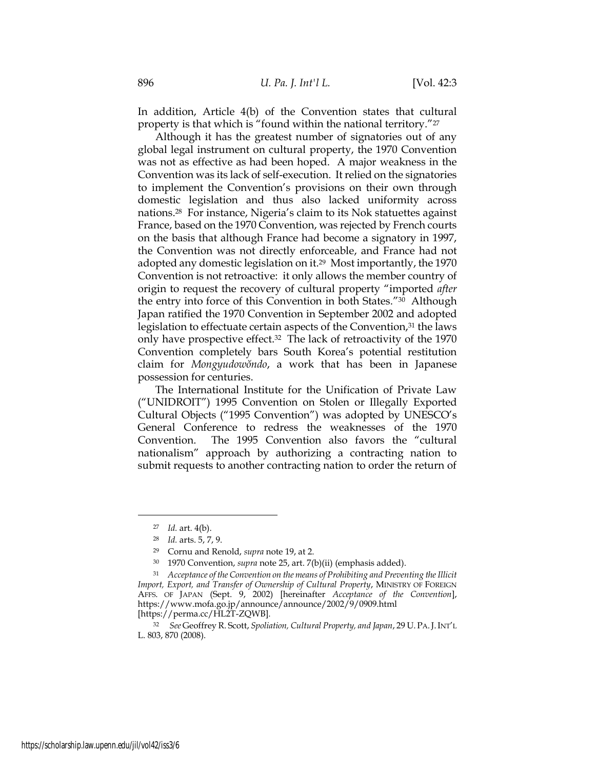In addition, Article 4(b) of the Convention states that cultural property is that which is "found within the national territory."<sup>27</sup>

Although it has the greatest number of signatories out of any global legal instrument on cultural property, the 1970 Convention was not as effective as had been hoped. A major weakness in the Convention was its lack of self-execution. It relied on the signatories to implement the Convention's provisions on their own through domestic legislation and thus also lacked uniformity across nations.<sup>28</sup> For instance, Nigeria's claim to its Nok statuettes against France, based on the 1970 Convention, was rejected by French courts on the basis that although France had become a signatory in 1997, the Convention was not directly enforceable, and France had not adopted any domestic legislation on it.29 Most importantly, the 1970 Convention is not retroactive: it only allows the member country of origin to request the recovery of cultural property "imported *after* the entry into force of this Convention in both States."<sup>30</sup> Although Japan ratified the 1970 Convention in September 2002 and adopted legislation to effectuate certain aspects of the Convention,<sup>31</sup> the laws only have prospective effect.<sup>32</sup> The lack of retroactivity of the 1970 Convention completely bars South Korea's potential restitution claim for *Mongyudowŏndo*, a work that has been in Japanese possession for centuries.

The International Institute for the Unification of Private Law ("UNIDROIT") 1995 Convention on Stolen or Illegally Exported Cultural Objects ("1995 Convention") was adopted by UNESCO's General Conference to redress the weaknesses of the 1970 Convention. The 1995 Convention also favors the "cultural nationalism" approach by authorizing a contracting nation to submit requests to another contracting nation to order the return of

<sup>27</sup> *Id.* art. 4(b).

<sup>28</sup> *Id.* arts. 5, 7, 9.

<sup>29</sup> Cornu and Renold, *supra* note 19, at 2.

<sup>30</sup> 1970 Convention, *supra* not[e 25,](#page-6-0) art. 7(b)(ii) (emphasis added).

<sup>31</sup> *Acceptance of the Convention on the means of Prohibiting and Preventing the Illicit Import, Export, and Transfer of Ownership of Cultural Property*, MINISTRY OF FOREIGN AFFS. OF JAPAN (Sept. 9, 2002) [hereinafter *Acceptance of the Convention*], https://www.mofa.go.jp/announce/announce/2002/9/0909.html [https://perma.cc/HL2T-ZQWB].

<sup>32</sup> *See* Geoffrey R. Scott, *Spoliation, Cultural Property, and Japan*, 29 U.PA.J.INT'L L. 803, 870 (2008).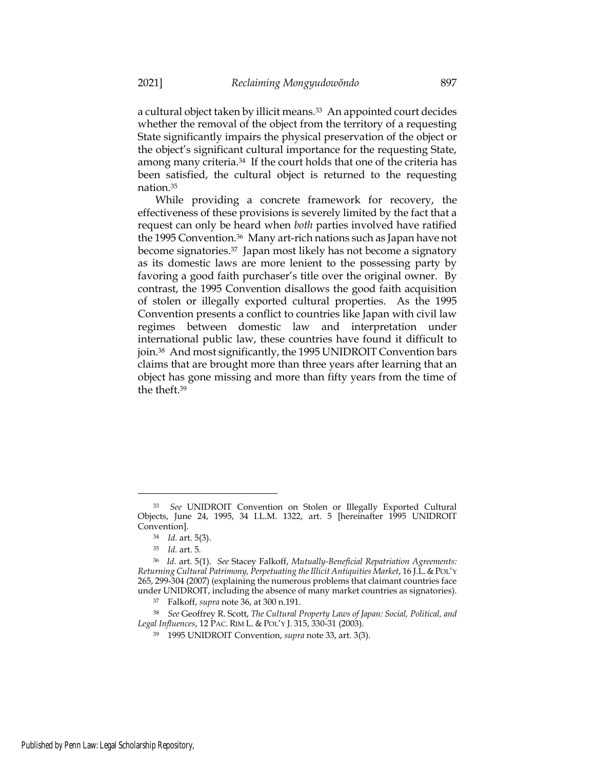a cultural object taken by illicit means.<sup>33</sup> An appointed court decides whether the removal of the object from the territory of a requesting State significantly impairs the physical preservation of the object or the object's significant cultural importance for the requesting State, among many criteria.<sup>34</sup> If the court holds that one of the criteria has been satisfied, the cultural object is returned to the requesting nation.<sup>35</sup>

<span id="page-8-0"></span>While providing a concrete framework for recovery, the effectiveness of these provisions is severely limited by the fact that a request can only be heard when *both* parties involved have ratified the 1995 Convention.36 Many art-rich nations such as Japan have not become signatories.<sup>37</sup> Japan most likely has not become a signatory as its domestic laws are more lenient to the possessing party by favoring a good faith purchaser's title over the original owner. By contrast, the 1995 Convention disallows the good faith acquisition of stolen or illegally exported cultural properties. As the 1995 Convention presents a conflict to countries like Japan with civil law regimes between domestic law and interpretation under international public law, these countries have found it difficult to join.<sup>38</sup> And most significantly, the 1995 UNIDROIT Convention bars claims that are brought more than three years after learning that an object has gone missing and more than fifty years from the time of the theft. 39

<sup>33</sup> *See* UNIDROIT Convention on Stolen or Illegally Exported Cultural Objects, June 24, 1995, 34 I.L.M. 1322, art. 5 [hereinafter 1995 UNIDROIT Convention].

<sup>34</sup> *Id.* art. 5(3).

<sup>35</sup> *Id.* art. 5.

<sup>36</sup> *Id.* art. 5(1). *See* Stacey Falkoff, *Mutually-Beneficial Repatriation Agreements: Returning Cultural Patrimony, Perpetuating the Illicit Antiquities Market*, 16 J.L.&POL'Y 265, 299-304 (2007) (explaining the numerous problems that claimant countries face under UNIDROIT, including the absence of many market countries as signatories).

<sup>37</sup> Falkoff, *supra* note 36, at 300 n.191.

<sup>38</sup> *See* Geoffrey R. Scott, *The Cultural Property Laws of Japan: Social, Political, and Legal Influences*, 12 PAC. RIM L. & POL'Y J. 315, 330-31 (2003).

<sup>39</sup> 1995 UNIDROIT Convention, *supra* note 33, art. 3(3).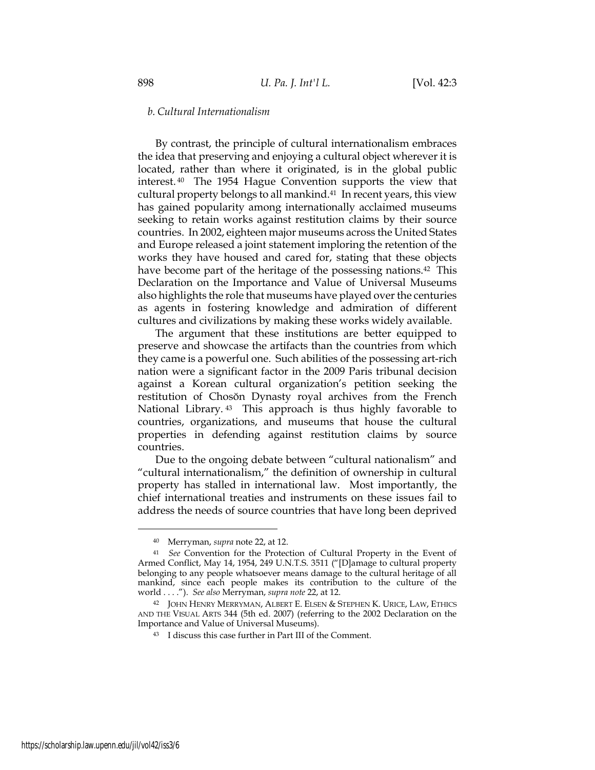### *b. Cultural Internationalism*

By contrast, the principle of cultural internationalism embraces the idea that preserving and enjoying a cultural object wherever it is located, rather than where it originated, is in the global public interest. <sup>40</sup> The 1954 Hague Convention supports the view that cultural property belongs to all mankind.41 In recent years, this view has gained popularity among internationally acclaimed museums seeking to retain works against restitution claims by their source countries. In 2002, eighteen major museums across the United States and Europe released a joint statement imploring the retention of the works they have housed and cared for, stating that these objects have become part of the heritage of the possessing nations.<sup>42</sup> This Declaration on the Importance and Value of Universal Museums also highlights the role that museums have played over the centuries as agents in fostering knowledge and admiration of different cultures and civilizations by making these works widely available.

The argument that these institutions are better equipped to preserve and showcase the artifacts than the countries from which they came is a powerful one. Such abilities of the possessing art-rich nation were a significant factor in the 2009 Paris tribunal decision against a Korean cultural organization's petition seeking the restitution of Chosŏn Dynasty royal archives from the French National Library. <sup>43</sup> This approach is thus highly favorable to countries, organizations, and museums that house the cultural properties in defending against restitution claims by source countries.

Due to the ongoing debate between "cultural nationalism" and "cultural internationalism," the definition of ownership in cultural property has stalled in international law. Most importantly, the chief international treaties and instruments on these issues fail to address the needs of source countries that have long been deprived

<sup>40</sup> Merryman, *supra* not[e 22,](#page-5-0) at 12.

<sup>41</sup> *See* Convention for the Protection of Cultural Property in the Event of Armed Conflict, May 14, 1954, 249 U.N.T.S. 3511 ("[D]amage to cultural property belonging to any people whatsoever means damage to the cultural heritage of all mankind, since each people makes its contribution to the culture of the world . . . ."). *See also* Merryman, *supra note* 22, at 12.

<sup>42</sup> JOHN HENRY MERRYMAN, ALBERT E. ELSEN & STEPHEN K. URICE, LAW, ETHICS AND THE VISUAL ARTS 344 (5th ed. 2007) (referring to the 2002 Declaration on the Importance and Value of Universal Museums).

<sup>43</sup> I discuss this case further in Part III of the Comment.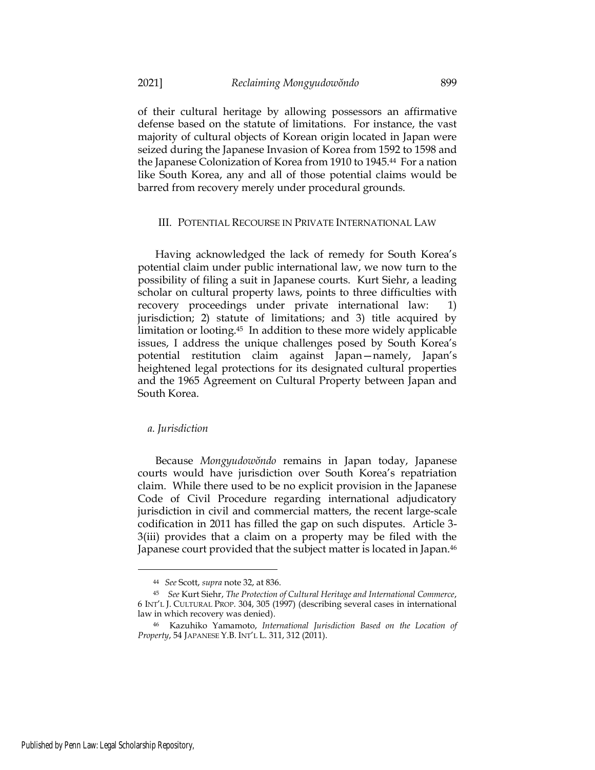of their cultural heritage by allowing possessors an affirmative defense based on the statute of limitations. For instance, the vast majority of cultural objects of Korean origin located in Japan were seized during the Japanese Invasion of Korea from 1592 to 1598 and the Japanese Colonization of Korea from 1910 to 1945.<sup>44</sup> For a nation like South Korea, any and all of those potential claims would be barred from recovery merely under procedural grounds.

### III. POTENTIAL RECOURSE IN PRIVATE INTERNATIONAL LAW

Having acknowledged the lack of remedy for South Korea's potential claim under public international law, we now turn to the possibility of filing a suit in Japanese courts. Kurt Siehr, a leading scholar on cultural property laws, points to three difficulties with recovery proceedings under private international law: 1) jurisdiction; 2) statute of limitations; and 3) title acquired by limitation or looting.<sup>45</sup> In addition to these more widely applicable issues, I address the unique challenges posed by South Korea's potential restitution claim against Japan—namely, Japan's heightened legal protections for its designated cultural properties and the 1965 Agreement on Cultural Property between Japan and South Korea.

#### *a. Jurisdiction*

Because *Mongyudowŏndo* remains in Japan today, Japanese courts would have jurisdiction over South Korea's repatriation claim. While there used to be no explicit provision in the Japanese Code of Civil Procedure regarding international adjudicatory jurisdiction in civil and commercial matters, the recent large-scale codification in 2011 has filled the gap on such disputes. Article 3- 3(iii) provides that a claim on a property may be filed with the Japanese court provided that the subject matter is located in Japan.<sup>46</sup>

<sup>44</sup> *See* Scott, *supra* note 32, at 836.

<sup>45</sup> *See* Kurt Siehr, *The Protection of Cultural Heritage and International Commerce*, 6 INT'L J. CULTURAL PROP. 304, 305 (1997) (describing several cases in international law in which recovery was denied).

<sup>46</sup> Kazuhiko Yamamoto, *International Jurisdiction Based on the Location of Property*, 54 JAPANESE Y.B. INT'L L. 311, 312 (2011).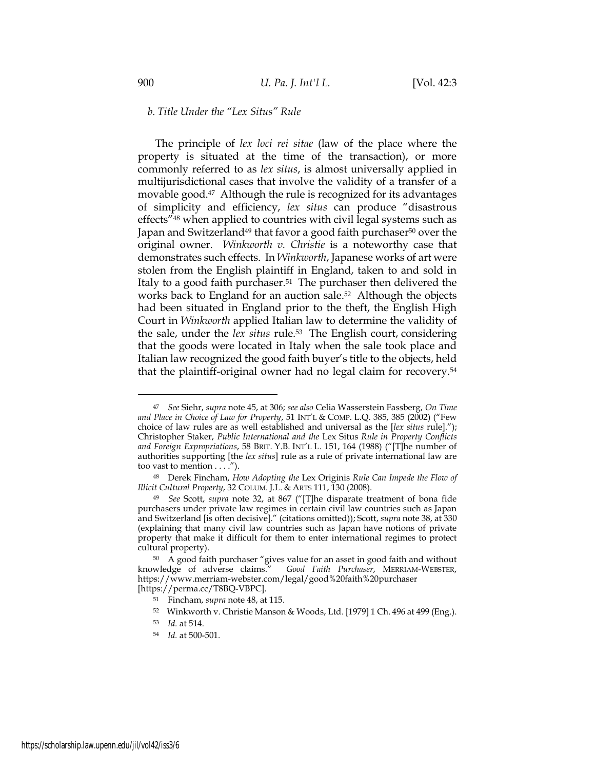# *b. Title Under the "Lex Situs" Rule*

The principle of *lex loci rei sitae* (law of the place where the property is situated at the time of the transaction), or more commonly referred to as *lex situs*, is almost universally applied in multijurisdictional cases that involve the validity of a transfer of a movable good.47 Although the rule is recognized for its advantages of simplicity and efficiency, *lex situs* can produce "disastrous effects"<sup>48</sup> when applied to countries with civil legal systems such as Japan and Switzerland<sup>49</sup> that favor a good faith purchaser<sup>50</sup> over the original owner. *Winkworth v. Christie* is a noteworthy case that demonstrates such effects. In *Winkworth*, Japanese works of art were stolen from the English plaintiff in England, taken to and sold in Italy to a good faith purchaser.51 The purchaser then delivered the works back to England for an auction sale.52 Although the objects had been situated in England prior to the theft, the English High Court in *Winkworth* applied Italian law to determine the validity of the sale, under the *lex situs* rule.<sup>53</sup> The English court, considering that the goods were located in Italy when the sale took place and Italian law recognized the good faith buyer's title to the objects, held that the plaintiff-original owner had no legal claim for recovery.<sup>54</sup>

<sup>47</sup> *See* Siehr, *supra* note 45, at 306; *see also* Celia Wasserstein Fassberg, *On Time and Place in Choice of Law for Property*, 51 INT'L & COMP. L.Q. 385, 385 (2002) ("Few choice of law rules are as well established and universal as the [*lex situs* rule]."); Christopher Staker, *Public International and the* Lex Situs *Rule in Property Conflicts and Foreign Expropriations*, 58 BRIT. Y.B. INT'L L*.* 151, 164 (1988) ("[T]he number of authorities supporting [the *lex situs*] rule as a rule of private international law are too vast to mention . . . .").

<sup>48</sup> Derek Fincham, *How Adopting the* Lex Originis *Rule Can Impede the Flow of Illicit Cultural Property*, 32 COLUM. J.L. & ARTS 111, 130 (2008).

<sup>49</sup> *See* Scott, *supra* note 32, at 867 ("[T]he disparate treatment of bona fide purchasers under private law regimes in certain civil law countries such as Japan and Switzerland [is often decisive]." (citations omitted)); Scott, *supra* not[e 38,](#page-8-0) at 330 (explaining that many civil law countries such as Japan have notions of private property that make it difficult for them to enter international regimes to protect cultural property).

<sup>50</sup> A good faith purchaser "gives value for an asset in good faith and without knowledge of adverse claims." *Good Faith Purchaser*, MERRIAM-WEBSTER, https://www.merriam-webster.com/legal/good%20faith%20purchaser [https://perma.cc/T8BQ-VBPC].

<sup>51</sup> Fincham, *supra* note 48, at 115.

<sup>52</sup> Winkworth v. Christie Manson & Woods, Ltd. [1979] 1 Ch. 496 at 499 (Eng.).

<sup>53</sup> *Id.* at 514.

<sup>54</sup> *Id.* at 500-501.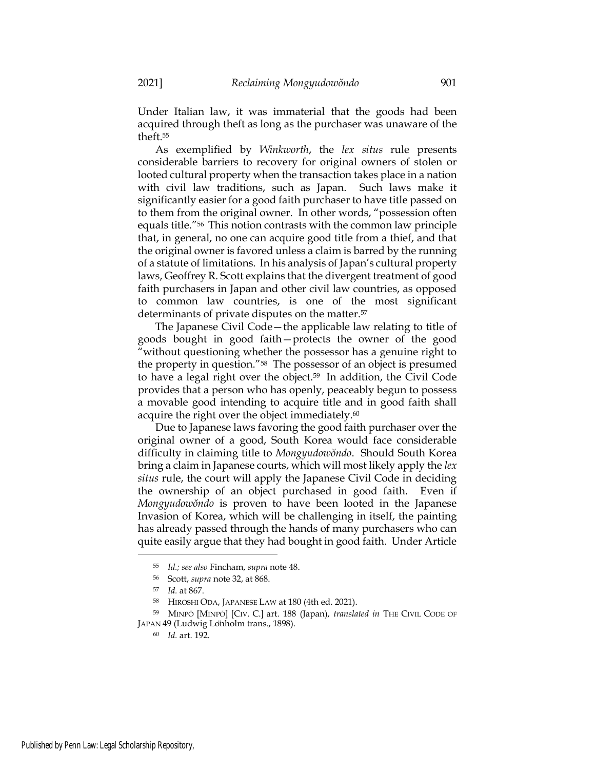Under Italian law, it was immaterial that the goods had been acquired through theft as long as the purchaser was unaware of the theft. 55

As exemplified by *Winkworth*, the *lex situs* rule presents considerable barriers to recovery for original owners of stolen or looted cultural property when the transaction takes place in a nation with civil law traditions, such as Japan. Such laws make it significantly easier for a good faith purchaser to have title passed on to them from the original owner. In other words, "possession often equals title."<sup>56</sup> This notion contrasts with the common law principle that, in general, no one can acquire good title from a thief, and that the original owner is favored unless a claim is barred by the running of a statute of limitations. In his analysis of Japan's cultural property laws, Geoffrey R. Scott explains that the divergent treatment of good faith purchasers in Japan and other civil law countries, as opposed to common law countries, is one of the most significant determinants of private disputes on the matter.<sup>57</sup>

The Japanese Civil Code—the applicable law relating to title of goods bought in good faith—protects the owner of the good "without questioning whether the possessor has a genuine right to the property in question."58 The possessor of an object is presumed to have a legal right over the object.59 In addition, the Civil Code provides that a person who has openly, peaceably begun to possess a movable good intending to acquire title and in good faith shall acquire the right over the object immediately.<sup>60</sup>

Due to Japanese laws favoring the good faith purchaser over the original owner of a good, South Korea would face considerable difficulty in claiming title to *Mongyudowŏndo*. Should South Korea bring a claim in Japanese courts, which will most likely apply the *lex situs* rule, the court will apply the Japanese Civil Code in deciding the ownership of an object purchased in good faith. Even if *Mongyudowŏndo* is proven to have been looted in the Japanese Invasion of Korea, which will be challenging in itself, the painting has already passed through the hands of many purchasers who can quite easily argue that they had bought in good faith. Under Article

<sup>55</sup> *Id.; see also* Fincham, *supra* note 48.

<sup>56</sup> Scott, *supra* note 32, at 868.

<sup>57</sup> *Id.* at 867.

<sup>58</sup> HIROSHI ODA, JAPANESE LAW at 180 (4th ed. 2021).

<sup>59</sup> MINPŌ [MINPŌ] [CIV. C.] art. 188 (Japan), *translated in* THE CIVIL CODE OF JAPAN 49 (Ludwig Lönholm trans., 1898).

<sup>60</sup> *Id.* art. 192.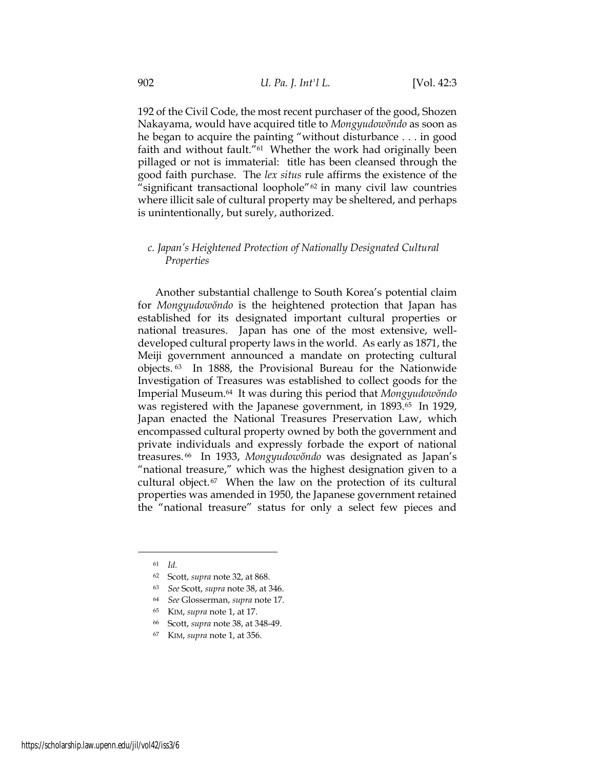192 of the Civil Code, the most recent purchaser of the good, Shozen Nakayama, would have acquired title to *Mongyudowŏndo* as soon as he began to acquire the painting "without disturbance . . . in good faith and without fault."<sup>61</sup> Whether the work had originally been pillaged or not is immaterial: title has been cleansed through the good faith purchase. The *lex situs* rule affirms the existence of the "significant transactional loophole"<sup>62</sup> in many civil law countries where illicit sale of cultural property may be sheltered, and perhaps is unintentionally, but surely, authorized.

# *c. Japan's Heightened Protection of Nationally Designated Cultural Properties*

Another substantial challenge to South Korea's potential claim for *Mongyudowŏndo* is the heightened protection that Japan has established for its designated important cultural properties or national treasures. Japan has one of the most extensive, welldeveloped cultural property laws in the world. As early as 1871, the Meiji government announced a mandate on protecting cultural objects. <sup>63</sup> In 1888, the Provisional Bureau for the Nationwide Investigation of Treasures was established to collect goods for the Imperial Museum.<sup>64</sup> It was during this period that *Mongyudowŏndo* was registered with the Japanese government, in 1893.<sup>65</sup> In 1929, Japan enacted the National Treasures Preservation Law, which encompassed cultural property owned by both the government and private individuals and expressly forbade the export of national treasures. <sup>66</sup> In 1933, *Mongyudowŏndo* was designated as Japan's "national treasure," which was the highest designation given to a cultural object. <sup>67</sup> When the law on the protection of its cultural properties was amended in 1950, the Japanese government retained the "national treasure" status for only a select few pieces and

<sup>61</sup> *Id.*

<sup>62</sup> Scott, *supra* note 32, at 868.

<sup>63</sup> *See* Scott, *supra* not[e 38,](#page-8-0) at 346.

<sup>64</sup> *See* Glosserman, *supra* not[e 17.](#page-4-0)

<sup>65</sup> KIM, *supra* note [1,](#page-2-0) at 17.

<sup>66</sup> Scott, *supra* not[e 38,](#page-8-0) at 348-49.

<sup>67</sup> KIM, *supra* note [1,](#page-2-0) at 356.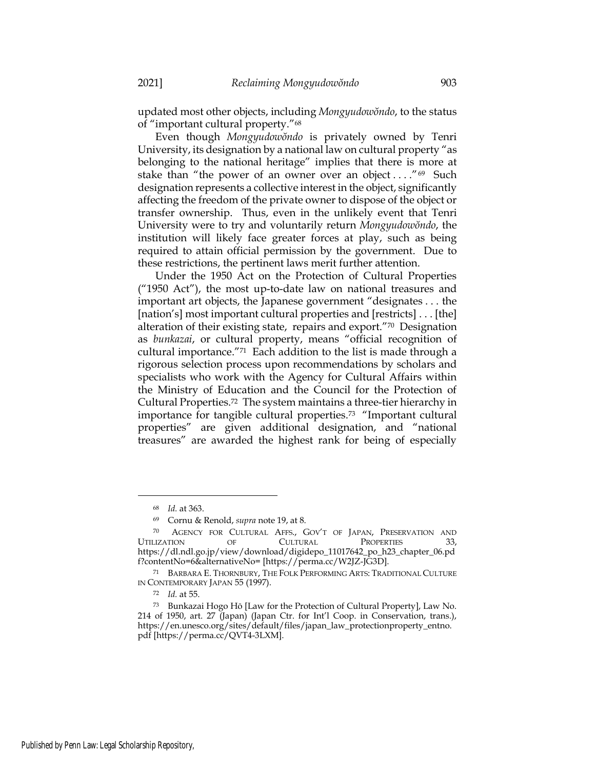updated most other objects, including *Mongyudowŏndo*, to the status of "important cultural property."<sup>68</sup>

Even though *Mongyudowŏndo* is privately owned by Tenri University, its designation by a national law on cultural property "as belonging to the national heritage" implies that there is more at stake than "the power of an owner over an object  $\dots$ ."<sup>69</sup> Such designation represents a collective interest in the object, significantly affecting the freedom of the private owner to dispose of the object or transfer ownership. Thus, even in the unlikely event that Tenri University were to try and voluntarily return *Mongyudowŏndo*, the institution will likely face greater forces at play, such as being required to attain official permission by the government. Due to these restrictions, the pertinent laws merit further attention.

Under the 1950 Act on the Protection of Cultural Properties ("1950 Act"), the most up-to-date law on national treasures and important art objects, the Japanese government "designates . . . the [nation's] most important cultural properties and [restricts] . . . [the] alteration of their existing state, repairs and export."70 Designation as *bunkazai*, or cultural property, means "official recognition of cultural importance."71 Each addition to the list is made through a rigorous selection process upon recommendations by scholars and specialists who work with the Agency for Cultural Affairs within the Ministry of Education and the Council for the Protection of Cultural Properties.72 The system maintains a three-tier hierarchy in importance for tangible cultural properties.<sup>73</sup> "Important cultural properties" are given additional designation, and "national treasures" are awarded the highest rank for being of especially

<sup>68</sup> *Id.* at 363.

<sup>69</sup> Cornu & Renold, *supra* not[e 19,](#page-4-1) at 8.

<sup>70</sup> AGENCY FOR CULTURAL AFFS., GOV'T OF JAPAN, PRESERVATION AND UTILIZATION OF CULTURAL PROPERTIES 33, https://dl.ndl.go.jp/view/download/digidepo\_11017642\_po\_h23\_chapter\_06.pd f?contentNo=6&alternativeNo= [https://perma.cc/W2JZ-JG3D].

<sup>71</sup> BARBARA E. THORNBURY, THE FOLK PERFORMING ARTS: TRADITIONAL CULTURE IN CONTEMPORARY JAPAN 55 (1997).

<sup>72</sup> *Id.* at 55.

<sup>73</sup> Bunkazai Hogo Hō [Law for the Protection of Cultural Property], Law No. 214 of 1950, art. 27 (Japan) (Japan Ctr. for Int'l Coop. in Conservation, trans.), https://en.unesco.org/sites/default/files/japan\_law\_protectionproperty\_entno. pdf [https://perma.cc/QVT4-3LXM].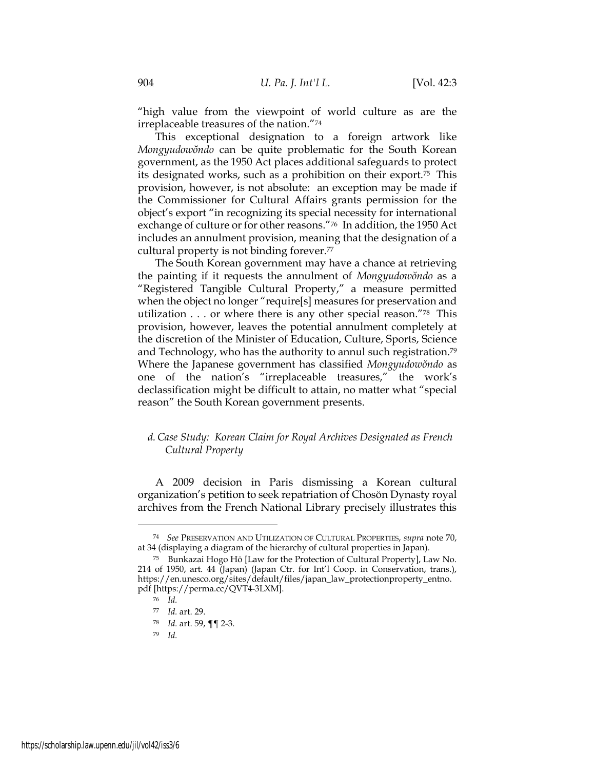"high value from the viewpoint of world culture as are the irreplaceable treasures of the nation."<sup>74</sup>

This exceptional designation to a foreign artwork like *Mongyudowŏndo* can be quite problematic for the South Korean government, as the 1950 Act places additional safeguards to protect its designated works, such as a prohibition on their export.<sup>75</sup> This provision, however, is not absolute: an exception may be made if the Commissioner for Cultural Affairs grants permission for the object's export "in recognizing its special necessity for international exchange of culture or for other reasons."76 In addition, the 1950 Act includes an annulment provision, meaning that the designation of a cultural property is not binding forever.<sup>77</sup>

The South Korean government may have a chance at retrieving the painting if it requests the annulment of *Mongyudowŏndo* as a "Registered Tangible Cultural Property," a measure permitted when the object no longer "require[s] measures for preservation and utilization . . . or where there is any other special reason."78 This provision, however, leaves the potential annulment completely at the discretion of the Minister of Education, Culture, Sports, Science and Technology, who has the authority to annul such registration.<sup>79</sup> Where the Japanese government has classified *Mongyudowŏndo* as one of the nation's "irreplaceable treasures," the work's declassification might be difficult to attain, no matter what "special reason" the South Korean government presents.

# *d.Case Study: Korean Claim for Royal Archives Designated as French Cultural Property*

A 2009 decision in Paris dismissing a Korean cultural organization's petition to seek repatriation of Chosŏn Dynasty royal archives from the French National Library precisely illustrates this

<sup>74</sup> *See* PRESERVATION AND UTILIZATION OF CULTURAL PROPERTIES, *supra* note 70, at 34 (displaying a diagram of the hierarchy of cultural properties in Japan).

<sup>75</sup> Bunkazai Hogo Hō [Law for the Protection of Cultural Property], Law No. 214 of 1950, art. 44 (Japan) (Japan Ctr. for Int'l Coop. in Conservation, trans.), https://en.unesco.org/sites/default/files/japan\_law\_protectionproperty\_entno. pdf [https://perma.cc/QVT4-3LXM].

<sup>76</sup> *Id.*

<sup>77</sup> *Id.* art. 29.

<sup>78</sup> *Id.* art. 59, ¶¶ 2-3.

<sup>79</sup> *Id.*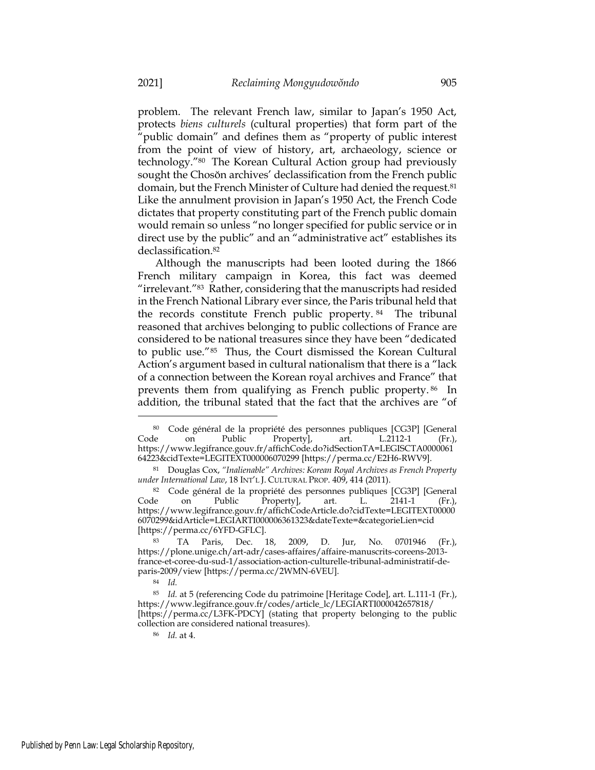problem. The relevant French law, similar to Japan's 1950 Act, protects *biens culturels* (cultural properties) that form part of the "public domain" and defines them as "property of public interest from the point of view of history, art, archaeology, science or technology."80 The Korean Cultural Action group had previously sought the Chosŏn archives' declassification from the French public domain, but the French Minister of Culture had denied the request.<sup>81</sup> Like the annulment provision in Japan's 1950 Act, the French Code dictates that property constituting part of the French public domain would remain so unless "no longer specified for public service or in direct use by the public" and an "administrative act" establishes its declassification.<sup>82</sup>

Although the manuscripts had been looted during the 1866 French military campaign in Korea, this fact was deemed "irrelevant."<sup>83</sup> Rather, considering that the manuscripts had resided in the French National Library ever since, the Paris tribunal held that the records constitute French public property. <sup>84</sup> The tribunal reasoned that archives belonging to public collections of France are considered to be national treasures since they have been "dedicated to public use."<sup>85</sup> Thus, the Court dismissed the Korean Cultural Action's argument based in cultural nationalism that there is a "lack of a connection between the Korean royal archives and France" that prevents them from qualifying as French public property. <sup>86</sup> In addition, the tribunal stated that the fact that the archives are "of

<sup>86</sup> *Id.* at 4.

<sup>80</sup> Code général de la propriété des personnes publiques [CG3P] [General Code on Public Property], art. L.2112-1 (Fr.), https://www.legifrance.gouv.fr/affichCode.do?idSectionTA=LEGISCTA0000061 64223&cidTexte=LEGITEXT000006070299 [https://perma.cc/E2H6-RWV9].

<sup>81</sup> Douglas Cox, *"Inalienable" Archives: Korean Royal Archives as French Property under International Law*, 18 INT'L J. CULTURAL PROP. 409, 414 (2011).

<sup>82</sup> Code général de la propriété des personnes publiques [CG3P] [General Code on Public Property], art. L. 2141-1 (Fr.), https://www.legifrance.gouv.fr/affichCodeArticle.do?cidTexte=LEGITEXT00000 6070299&idArticle=LEGIARTI000006361323&dateTexte=&categorieLien=cid [https://perma.cc/6YFD-GFLC].

<sup>83</sup> TA Paris, Dec. 18, 2009, D. Jur, No. 0701946 (Fr.), https://plone.unige.ch/art-adr/cases-affaires/affaire-manuscrits-coreens-2013 france-et-coree-du-sud-1/association-action-culturelle-tribunal-administratif-deparis-2009/view [https://perma.cc/2WMN-6VEU].

<sup>84</sup> *Id.*

<sup>85</sup> *Id.* at 5 (referencing Code du patrimoine [Heritage Code], art. L.111-1 (Fr.), https://www.legifrance.gouv.fr/codes/article\_lc/LEGIARTI000042657818/ [https://perma.cc/L3FK-PDCY] (stating that property belonging to the public collection are considered national treasures).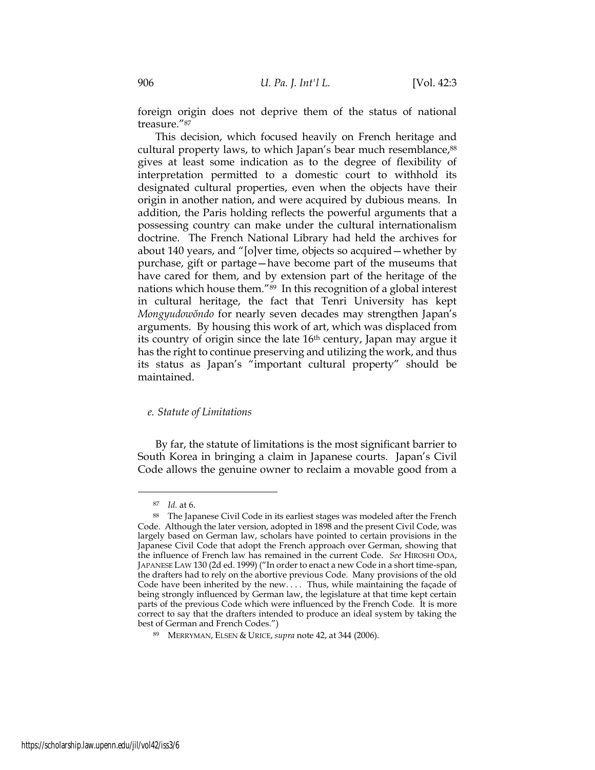foreign origin does not deprive them of the status of national treasure."<sup>87</sup>

This decision, which focused heavily on French heritage and cultural property laws, to which Japan's bear much resemblance, 88 gives at least some indication as to the degree of flexibility of interpretation permitted to a domestic court to withhold its designated cultural properties, even when the objects have their origin in another nation, and were acquired by dubious means. In addition, the Paris holding reflects the powerful arguments that a possessing country can make under the cultural internationalism doctrine. The French National Library had held the archives for about 140 years, and "[o]ver time, objects so acquired—whether by purchase, gift or partage—have become part of the museums that have cared for them, and by extension part of the heritage of the nations which house them."<sup>89</sup> In this recognition of a global interest in cultural heritage, the fact that Tenri University has kept *Mongyudowŏndo* for nearly seven decades may strengthen Japan's arguments. By housing this work of art, which was displaced from its country of origin since the late 16th century, Japan may argue it has the right to continue preserving and utilizing the work, and thus its status as Japan's "important cultural property" should be maintained.

# *e. Statute of Limitations*

By far, the statute of limitations is the most significant barrier to South Korea in bringing a claim in Japanese courts. Japan's Civil Code allows the genuine owner to reclaim a movable good from a

<sup>87</sup> *Id.* at 6.

<sup>88</sup> The Japanese Civil Code in its earliest stages was modeled after the French Code. Although the later version, adopted in 1898 and the present Civil Code, was largely based on German law, scholars have pointed to certain provisions in the Japanese Civil Code that adopt the French approach over German, showing that the influence of French law has remained in the current Code. *See* HIROSHI ODA, JAPANESE LAW 130 (2d ed. 1999) ("In order to enact a new Code in a short time-span, the drafters had to rely on the abortive previous Code. Many provisions of the old Code have been inherited by the new. . . . Thus, while maintaining the façade of being strongly influenced by German law, the legislature at that time kept certain parts of the previous Code which were influenced by the French Code. It is more correct to say that the drafters intended to produce an ideal system by taking the best of German and French Codes.")

<sup>89</sup> MERRYMAN, ELSEN & URICE, *supra* note 42, at 344 (2006).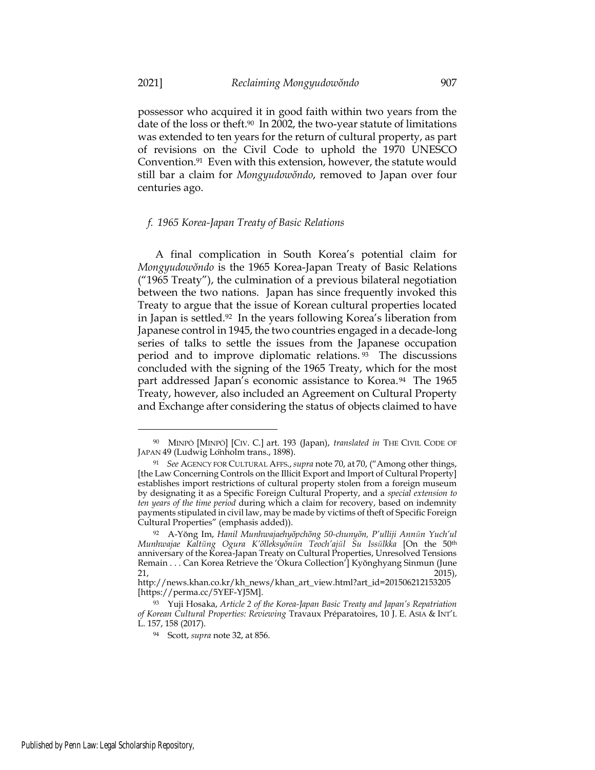possessor who acquired it in good faith within two years from the date of the loss or theft.<sup>90</sup> In 2002, the two-year statute of limitations was extended to ten years for the return of cultural property, as part of revisions on the Civil Code to uphold the 1970 UNESCO Convention.<sup>91</sup> Even with this extension, however, the statute would still bar a claim for *Mongyudowŏndo*, removed to Japan over four centuries ago.

#### *f. 1965 Korea-Japan Treaty of Basic Relations*

A final complication in South Korea's potential claim for *Mongyudowŏndo* is the 1965 Korea-Japan Treaty of Basic Relations ("1965 Treaty"), the culmination of a previous bilateral negotiation between the two nations. Japan has since frequently invoked this Treaty to argue that the issue of Korean cultural properties located in Japan is settled.<sup>92</sup> In the years following Korea's liberation from Japanese control in 1945, the two countries engaged in a decade-long series of talks to settle the issues from the Japanese occupation period and to improve diplomatic relations. <sup>93</sup> The discussions concluded with the signing of the 1965 Treaty, which for the most part addressed Japan's economic assistance to Korea.<sup>94</sup> The 1965 Treaty, however, also included an Agreement on Cultural Property and Exchange after considering the status of objects claimed to have

<sup>90</sup> MINPŌ [MINPŌ] [CIV. C.] art. 193 (Japan), *translated in* THE CIVIL CODE OF JAPAN 49 (Ludwig Lönholm trans., 1898).

<sup>91</sup> *See* AGENCY FOR CULTURAL AFFS.,*supra* note 70, at 70, ("Among other things, [the Law Concerning Controls on the Illicit Export and Import of Cultural Property] establishes import restrictions of cultural property stolen from a foreign museum by designating it as a Specific Foreign Cultural Property, and a *special extension to ten years of the time period* during which a claim for recovery, based on indemnity payments stipulated in civil law, may be made by victims of theft of Specific Foreign Cultural Properties" (emphasis added)).

<sup>92</sup> A-Yŏng Im, *Hanil Munhwajaehyŏpchŏng 50-chunyŏn, P'ulliji Annŭn Yuch'ul Munhwajae Kaltŭng Ogura K'ŏlleksyŏnŭn Teoch'ajŭl Su Issŭlkka* [On the 50th anniversary of the Korea-Japan Treaty on Cultural Properties, Unresolved Tensions Remain . . . Can Korea Retrieve the 'Okura Collection'] Kyŏnghyang Sinmun (June 21,  $2015$ ,

http://news.khan.co.kr/kh\_news/khan\_art\_view.html?art\_id=201506212153205 [https://perma.cc/5YEF-YJ5M].

<sup>93</sup> Yuji Hosaka, *Article 2 of the Korea-Japan Basic Treaty and Japan's Repatriation of Korean Cultural Properties: Reviewing* Travaux Préparatoires, 10 J. E. ASIA & INT'L L. 157, 158 (2017).

<sup>94</sup> Scott, *supra* note 32, at 856.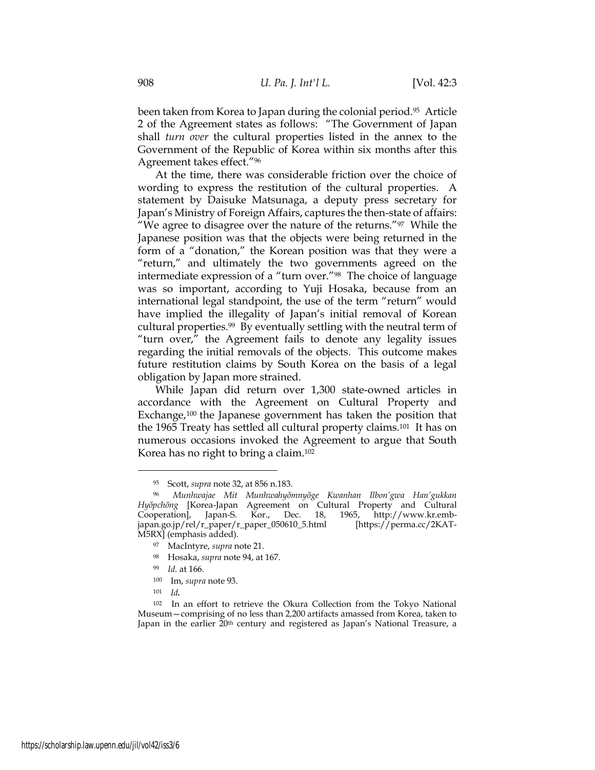been taken from Korea to Japan during the colonial period.<sup>95</sup> Article 2 of the Agreement states as follows: "The Government of Japan shall *turn over* the cultural properties listed in the annex to the Government of the Republic of Korea within six months after this Agreement takes effect."<sup>96</sup>

At the time, there was considerable friction over the choice of wording to express the restitution of the cultural properties. A statement by Daisuke Matsunaga, a deputy press secretary for Japan's Ministry of Foreign Affairs, captures the then-state of affairs: "We agree to disagree over the nature of the returns." $97$  While the Japanese position was that the objects were being returned in the form of a "donation," the Korean position was that they were a "return," and ultimately the two governments agreed on the intermediate expression of a "turn over."<sup>98</sup> The choice of language was so important, according to Yuji Hosaka, because from an international legal standpoint, the use of the term "return" would have implied the illegality of Japan's initial removal of Korean cultural properties.<sup>99</sup> By eventually settling with the neutral term of "turn over," the Agreement fails to denote any legality issues regarding the initial removals of the objects. This outcome makes future restitution claims by South Korea on the basis of a legal obligation by Japan more strained.

While Japan did return over 1,300 state-owned articles in accordance with the Agreement on Cultural Property and Exchange,<sup>100</sup> the Japanese government has taken the position that the 1965 Treaty has settled all cultural property claims.<sup>101</sup> It has on numerous occasions invoked the Agreement to argue that South Korea has no right to bring a claim.<sup>102</sup>

<sup>95</sup> Scott, *supra* note 32, at 856 n.183.

<sup>96</sup> *Munhwajae Mit Munhwahyŏmnyŏge Kwanhan Ilbon'gwa Han'gukkan Hyŏpchŏng* [Korea-Japan Agreement on Cultural Property and Cultural Cooperation], Japan-S. Kor., Dec. 18, 1965, http://www.kr.embjapan.go.jp/rel/r\_paper/r\_paper\_050610\_5.html [https://perma.cc/2KAT-M5RX] (emphasis added).

<sup>97</sup> MacIntyre, *supra* note 21.

<sup>98</sup> Hosaka, *supra* note 94, at 167.

<sup>99</sup> *Id.* at 166.

<sup>100</sup> Im, *supra* note 93.

<sup>101</sup> *Id.*

<sup>102</sup> In an effort to retrieve the Okura Collection from the Tokyo National Museum—comprising of no less than 2,200 artifacts amassed from Korea, taken to Japan in the earlier 20th century and registered as Japan's National Treasure, a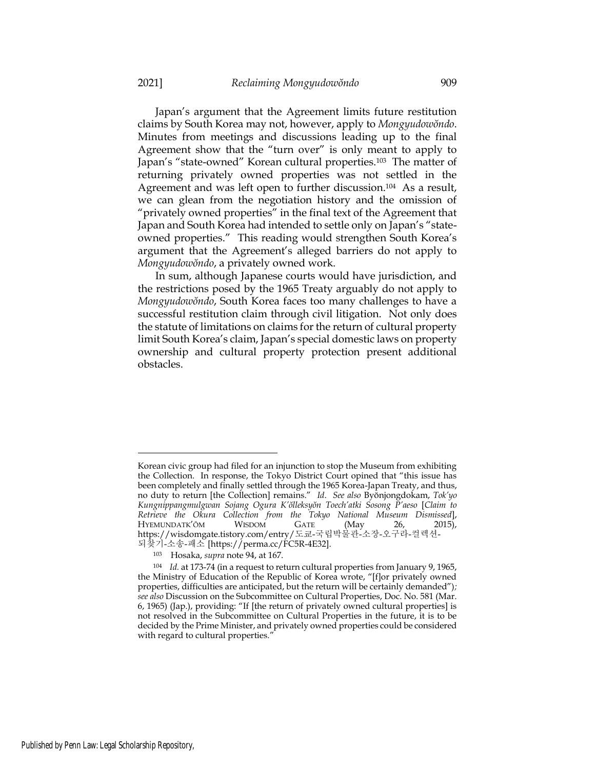Japan's argument that the Agreement limits future restitution claims by South Korea may not, however, apply to *Mongyudowŏndo*. Minutes from meetings and discussions leading up to the final Agreement show that the "turn over" is only meant to apply to Japan's "state-owned" Korean cultural properties.<sup>103</sup> The matter of returning privately owned properties was not settled in the Agreement and was left open to further discussion.<sup>104</sup> As a result, we can glean from the negotiation history and the omission of "privately owned properties" in the final text of the Agreement that Japan and South Korea had intended to settle only on Japan's "stateowned properties." This reading would strengthen South Korea's argument that the Agreement's alleged barriers do not apply to *Mongyudowŏndo*, a privately owned work.

In sum, although Japanese courts would have jurisdiction, and the restrictions posed by the 1965 Treaty arguably do not apply to *Mongyudowŏndo*, South Korea faces too many challenges to have a successful restitution claim through civil litigation. Not only does the statute of limitations on claims for the return of cultural property limit South Korea's claim, Japan's special domestic laws on property ownership and cultural property protection present additional obstacles.

Korean civic group had filed for an injunction to stop the Museum from exhibiting the Collection. In response, the Tokyo District Court opined that "this issue has been completely and finally settled through the 1965 Korea-Japan Treaty, and thus, no duty to return [the Collection] remains." *Id*. *See also* Byŏnjongdokam, *Tok'yo Kungnippangmulgwan Sojang Ogura K'ŏlleksyŏn Toech'atki Sosong P'aeso* [*Claim to Retrieve the Okura Collection from the Tokyo National Museum Dismissed*], HYEMUNDATK'ŎM WISDOM GATE (May 26, 2015), https://wisdomgate.tistory.com/entry/도쿄-국립박물관-소장-오구라-컬렉션-되찾기-소송-패소 [https://perma.cc/FC5R-4E32].

<sup>103</sup> Hosaka, *supra* note 94, at 167.

<sup>104</sup> *Id.* at 173-74 (in a request to return cultural properties from January 9, 1965, the Ministry of Education of the Republic of Korea wrote, "[f]or privately owned properties, difficulties are anticipated, but the return will be certainly demanded")*; see also* Discussion on the Subcommittee on Cultural Properties, Doc. No. 581 (Mar. 6, 1965) (Jap.), providing: "If [the return of privately owned cultural properties] is not resolved in the Subcommittee on Cultural Properties in the future, it is to be decided by the Prime Minister, and privately owned properties could be considered with regard to cultural properties."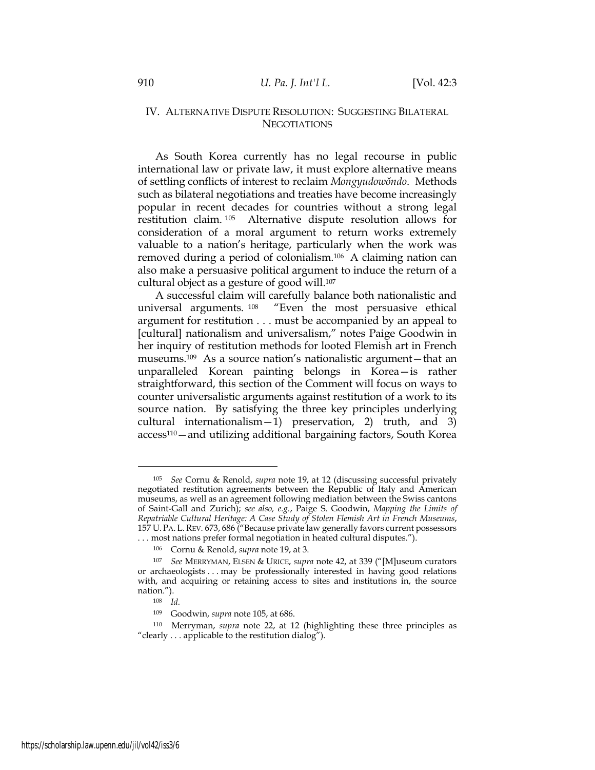# IV. ALTERNATIVE DISPUTE RESOLUTION: SUGGESTING BILATERAL **NEGOTIATIONS**

As South Korea currently has no legal recourse in public international law or private law, it must explore alternative means of settling conflicts of interest to reclaim *Mongyudowŏndo*. Methods such as bilateral negotiations and treaties have become increasingly popular in recent decades for countries without a strong legal restitution claim. <sup>105</sup> Alternative dispute resolution allows for consideration of a moral argument to return works extremely valuable to a nation's heritage, particularly when the work was removed during a period of colonialism.<sup>106</sup> A claiming nation can also make a persuasive political argument to induce the return of a cultural object as a gesture of good will.<sup>107</sup>

A successful claim will carefully balance both nationalistic and universal arguments. <sup>108</sup> "Even the most persuasive ethical argument for restitution . . . must be accompanied by an appeal to [cultural] nationalism and universalism," notes Paige Goodwin in her inquiry of restitution methods for looted Flemish art in French museums.<sup>109</sup> As a source nation's nationalistic argument—that an unparalleled Korean painting belongs in Korea—is rather straightforward, this section of the Comment will focus on ways to counter universalistic arguments against restitution of a work to its source nation. By satisfying the three key principles underlying cultural internationalism—1) preservation, 2) truth, and 3) access110—and utilizing additional bargaining factors, South Korea

<sup>105</sup> *See* Cornu & Renold, *supra* note 19, at 12 (discussing successful privately negotiated restitution agreements between the Republic of Italy and American museums, as well as an agreement following mediation between the Swiss cantons of Saint-Gall and Zurich); *see also, e.g.*, Paige S. Goodwin, *Mapping the Limits of Repatriable Cultural Heritage: A Case Study of Stolen Flemish Art in French Museums*, 157 U.PA. L.REV*.* 673, 686 ("Because private law generally favors current possessors . . . most nations prefer formal negotiation in heated cultural disputes.").

<sup>106</sup> Cornu & Renold, *supra* note 19, at 3.

<sup>107</sup> *See* MERRYMAN, ELSEN & URICE, *supra* note 42, at 339 ("[M]useum curators or archaeologists . . . may be professionally interested in having good relations with, and acquiring or retaining access to sites and institutions in, the source nation.").

<sup>108</sup> *Id.*

<sup>109</sup> Goodwin, *supra* note 105, at 686.

<sup>110</sup> Merryman, *supra* note 22, at 12 (highlighting these three principles as "clearly . . . applicable to the restitution dialog").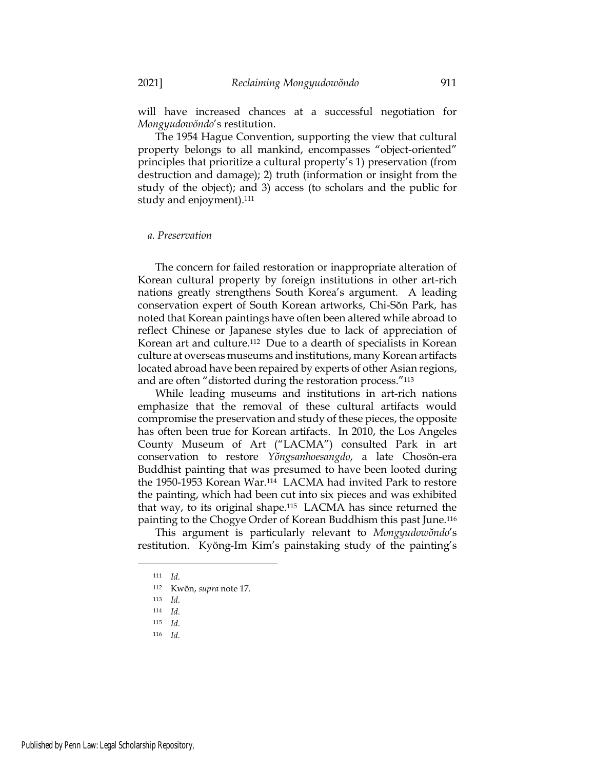will have increased chances at a successful negotiation for *Mongyudowŏndo*'s restitution.

The 1954 Hague Convention, supporting the view that cultural property belongs to all mankind, encompasses "object-oriented" principles that prioritize a cultural property's 1) preservation (from destruction and damage); 2) truth (information or insight from the study of the object); and 3) access (to scholars and the public for study and enjoyment).<sup>111</sup>

### *a. Preservation*

The concern for failed restoration or inappropriate alteration of Korean cultural property by foreign institutions in other art-rich nations greatly strengthens South Korea's argument. A leading conservation expert of South Korean artworks, Chi-Sŏn Park, has noted that Korean paintings have often been altered while abroad to reflect Chinese or Japanese styles due to lack of appreciation of Korean art and culture.<sup>112</sup> Due to a dearth of specialists in Korean culture at overseas museums and institutions, many Korean artifacts located abroad have been repaired by experts of other Asian regions, and are often "distorted during the restoration process."<sup>113</sup>

While leading museums and institutions in art-rich nations emphasize that the removal of these cultural artifacts would compromise the preservation and study of these pieces, the opposite has often been true for Korean artifacts. In 2010, the Los Angeles County Museum of Art ("LACMA") consulted Park in art conservation to restore *Yŏngsanhoesangdo*, a late Chosŏn-era Buddhist painting that was presumed to have been looted during the 1950-1953 Korean War.<sup>114</sup> LACMA had invited Park to restore the painting, which had been cut into six pieces and was exhibited that way, to its original shape.<sup>115</sup> LACMA has since returned the painting to the Chogye Order of Korean Buddhism this past June.<sup>116</sup>

This argument is particularly relevant to *Mongyudowŏndo*'s restitution. Kyŏng-Im Kim's painstaking study of the painting's

<sup>111</sup> *Id.*

<sup>112</sup> Kwŏn, *supra* note 17.

<sup>113</sup> *Id.*

<sup>114</sup> *Id.*

<sup>115</sup> *Id.*

<sup>116</sup> *Id.*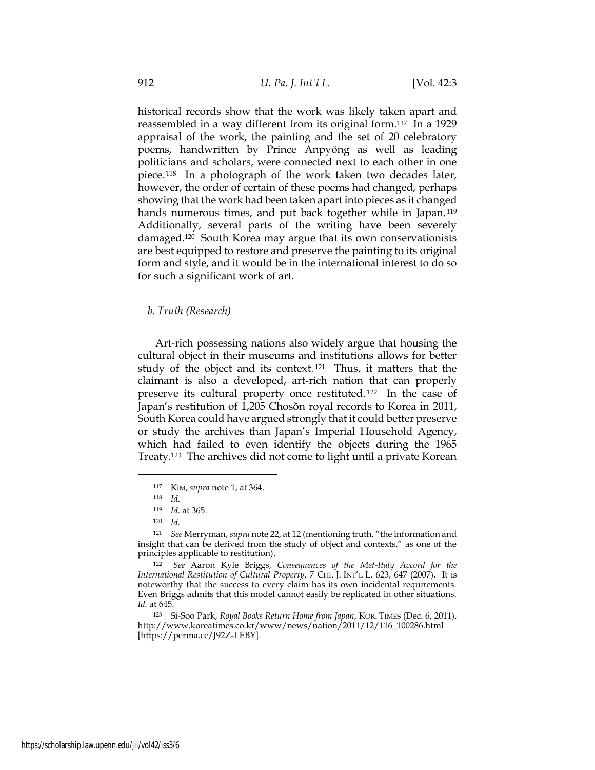historical records show that the work was likely taken apart and reassembled in a way different from its original form.<sup>117</sup> In a 1929 appraisal of the work, the painting and the set of 20 celebratory poems, handwritten by Prince Anpyŏng as well as leading politicians and scholars, were connected next to each other in one piece. <sup>118</sup> In a photograph of the work taken two decades later, however, the order of certain of these poems had changed, perhaps showing that the work had been taken apart into pieces as it changed hands numerous times, and put back together while in Japan.<sup>119</sup> Additionally, several parts of the writing have been severely damaged.<sup>120</sup> South Korea may argue that its own conservationists are best equipped to restore and preserve the painting to its original form and style, and it would be in the international interest to do so for such a significant work of art.

## *b. Truth (Research)*

Art-rich possessing nations also widely argue that housing the cultural object in their museums and institutions allows for better study of the object and its context. <sup>121</sup> Thus, it matters that the claimant is also a developed, art-rich nation that can properly preserve its cultural property once restituted. <sup>122</sup> In the case of Japan's restitution of 1,205 Chosŏn royal records to Korea in 2011, South Korea could have argued strongly that it could better preserve or study the archives than Japan's Imperial Household Agency, which had failed to even identify the objects during the 1965 Treaty.<sup>123</sup> The archives did not come to light until a private Korean

<sup>117</sup> KIM, *supra* note 1, at 364.

<sup>118</sup> *Id.*

<sup>119</sup> *Id.* at 365.

<sup>120</sup> *Id.*

<sup>121</sup> *See* Merryman, *supra* note 22, at 12 (mentioning truth, "the information and insight that can be derived from the study of object and contexts," as one of the principles applicable to restitution).

<sup>122</sup> *See* Aaron Kyle Briggs, *Consequences of the Met-Italy Accord for the International Restitution of Cultural Property*, 7 CHI. J. INT'L L. 623, 647 (2007). It is noteworthy that the success to every claim has its own incidental requirements. Even Briggs admits that this model cannot easily be replicated in other situations. *Id.* at 645.

<sup>123</sup> Si-Soo Park, *Royal Books Return Home from Japan*, KOR. TIMES (Dec. 6, 2011), http://www.koreatimes.co.kr/www/news/nation/2011/12/116\_100286.html [https://perma.cc/J92Z-LEBY].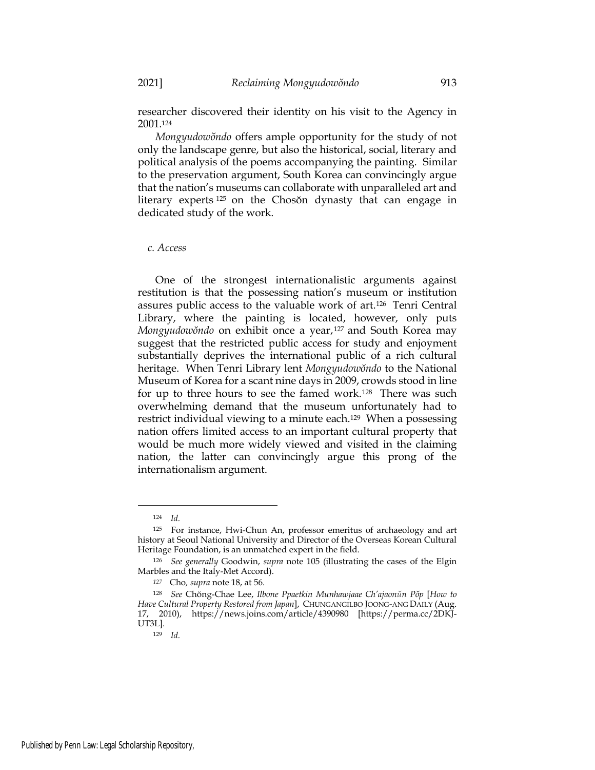researcher discovered their identity on his visit to the Agency in 2001.<sup>124</sup>

*Mongyudowŏndo* offers ample opportunity for the study of not only the landscape genre, but also the historical, social, literary and political analysis of the poems accompanying the painting. Similar to the preservation argument, South Korea can convincingly argue that the nation's museums can collaborate with unparalleled art and literary experts <sup>125</sup> on the Chosŏn dynasty that can engage in dedicated study of the work.

#### *c. Access*

One of the strongest internationalistic arguments against restitution is that the possessing nation's museum or institution assures public access to the valuable work of art.<sup>126</sup> Tenri Central Library, where the painting is located, however, only puts *Mongyudowŏndo* on exhibit once a year,<sup>127</sup> and South Korea may suggest that the restricted public access for study and enjoyment substantially deprives the international public of a rich cultural heritage. When Tenri Library lent *Mongyudowŏndo* to the National Museum of Korea for a scant nine days in 2009, crowds stood in line for up to three hours to see the famed work.<sup>128</sup> There was such overwhelming demand that the museum unfortunately had to restrict individual viewing to a minute each.<sup>129</sup> When a possessing nation offers limited access to an important cultural property that would be much more widely viewed and visited in the claiming nation, the latter can convincingly argue this prong of the internationalism argument.

<sup>124</sup> *Id.*

<sup>125</sup> For instance, Hwi-Chun An, professor emeritus of archaeology and art history at Seoul National University and Director of the Overseas Korean Cultural Heritage Foundation, is an unmatched expert in the field.

<sup>126</sup> *See generally* Goodwin, *supra* note 105 (illustrating the cases of the Elgin Marbles and the Italy-Met Accord).

*<sup>127</sup>* Cho*, supra* note 18, at 56.

<sup>128</sup> *See* Chŏng-Chae Lee, *Ilbone Ppaetkin Munhawjaae Ch'ajaonŭn Pŏp* [*How to Have Cultural Property Restored from Japan*], CHUNGANGILBO JOONG-ANG DAILY (Aug. 17, 2010), https://news.joins.com/article/4390980 [https://perma.cc/2DKJ-UT3L].

<sup>129</sup> *Id.*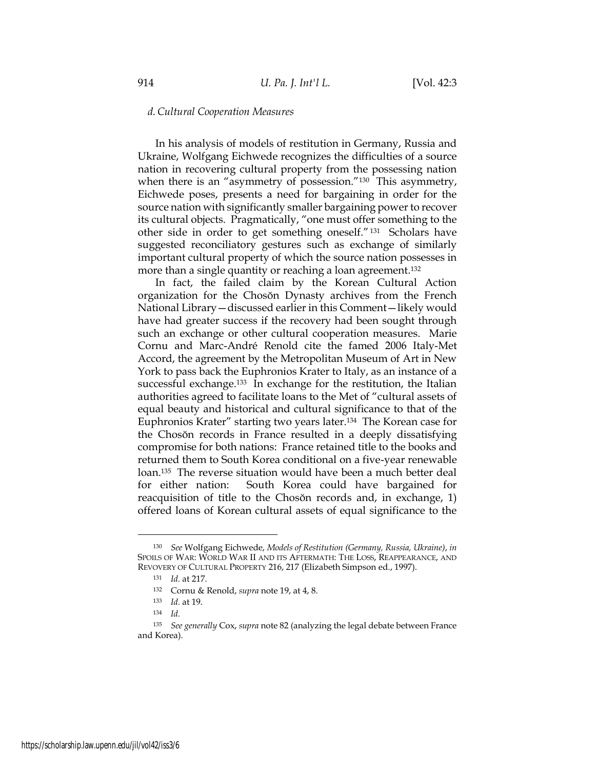### *d.Cultural Cooperation Measures*

In his analysis of models of restitution in Germany, Russia and Ukraine, Wolfgang Eichwede recognizes the difficulties of a source nation in recovering cultural property from the possessing nation when there is an "asymmetry of possession."<sup>130</sup> This asymmetry, Eichwede poses, presents a need for bargaining in order for the source nation with significantly smaller bargaining power to recover its cultural objects. Pragmatically, "one must offer something to the other side in order to get something oneself."<sup>131</sup> Scholars have suggested reconciliatory gestures such as exchange of similarly important cultural property of which the source nation possesses in more than a single quantity or reaching a loan agreement.<sup>132</sup>

In fact, the failed claim by the Korean Cultural Action organization for the Chosŏn Dynasty archives from the French National Library—discussed earlier in this Comment—likely would have had greater success if the recovery had been sought through such an exchange or other cultural cooperation measures. Marie Cornu and Marc-André Renold cite the famed 2006 Italy-Met Accord, the agreement by the Metropolitan Museum of Art in New York to pass back the Euphronios Krater to Italy, as an instance of a successful exchange.<sup>133</sup> In exchange for the restitution, the Italian authorities agreed to facilitate loans to the Met of "cultural assets of equal beauty and historical and cultural significance to that of the Euphronios Krater" starting two years later.<sup>134</sup> The Korean case for the Chosŏn records in France resulted in a deeply dissatisfying compromise for both nations: France retained title to the books and returned them to South Korea conditional on a five-year renewable loan.<sup>135</sup> The reverse situation would have been a much better deal for either nation: South Korea could have bargained for reacquisition of title to the Chosŏn records and, in exchange, 1) offered loans of Korean cultural assets of equal significance to the

<sup>130</sup> *See* Wolfgang Eichwede, *Models of Restitution (Germany, Russia, Ukraine)*, *in* SPOILS OF WAR: WORLD WAR II AND ITS AFTERMATH: THE LOSS, REAPPEARANCE, AND REVOVERY OF CULTURAL PROPERTY 216, 217 (Elizabeth Simpson ed., 1997).

<sup>131</sup> *Id.* at 217.

<sup>132</sup> Cornu & Renold, *supra* note 19, at 4, 8.

<sup>133</sup> *Id.* at 19.

<sup>134</sup> *Id.*

<sup>135</sup> *See generally* Cox, *supra* note 82 (analyzing the legal debate between France and Korea).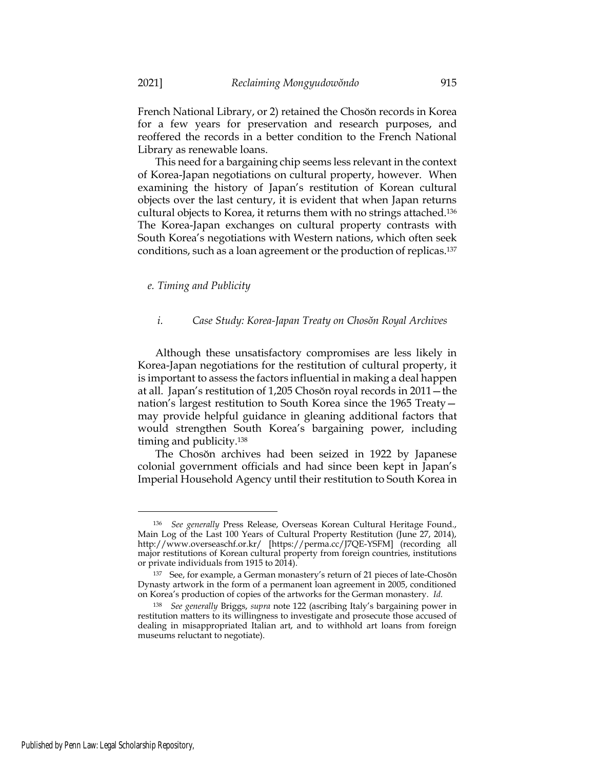French National Library, or 2) retained the Chosŏn records in Korea for a few years for preservation and research purposes, and reoffered the records in a better condition to the French National Library as renewable loans.

This need for a bargaining chip seems less relevant in the context of Korea-Japan negotiations on cultural property, however. When examining the history of Japan's restitution of Korean cultural objects over the last century, it is evident that when Japan returns cultural objects to Korea, it returns them with no strings attached.<sup>136</sup> The Korea-Japan exchanges on cultural property contrasts with South Korea's negotiations with Western nations, which often seek conditions, such as a loan agreement or the production of replicas.<sup>137</sup>

*e. Timing and Publicity*

### *i. Case Study: Korea-Japan Treaty on Chosŏn Royal Archives*

Although these unsatisfactory compromises are less likely in Korea-Japan negotiations for the restitution of cultural property, it is important to assess the factors influential in making a deal happen at all. Japan's restitution of 1,205 Chosŏn royal records in 2011—the nation's largest restitution to South Korea since the 1965 Treaty may provide helpful guidance in gleaning additional factors that would strengthen South Korea's bargaining power, including timing and publicity.<sup>138</sup>

The Chosŏn archives had been seized in 1922 by Japanese colonial government officials and had since been kept in Japan's Imperial Household Agency until their restitution to South Korea in

<sup>136</sup> *See generally* Press Release, Overseas Korean Cultural Heritage Found., Main Log of the Last 100 Years of Cultural Property Restitution (June 27, 2014), http://www.overseaschf.or.kr/ [https://perma.cc/J7QE-YSFM] (recording all major restitutions of Korean cultural property from foreign countries, institutions or private individuals from 1915 to 2014).

<sup>137</sup> See, for example, a German monastery's return of 21 pieces of late-Chosŏn Dynasty artwork in the form of a permanent loan agreement in 2005, conditioned on Korea's production of copies of the artworks for the German monastery. *Id.*

<sup>138</sup> *See generally* Briggs, *supra* note 122 (ascribing Italy's bargaining power in restitution matters to its willingness to investigate and prosecute those accused of dealing in misappropriated Italian art, and to withhold art loans from foreign museums reluctant to negotiate).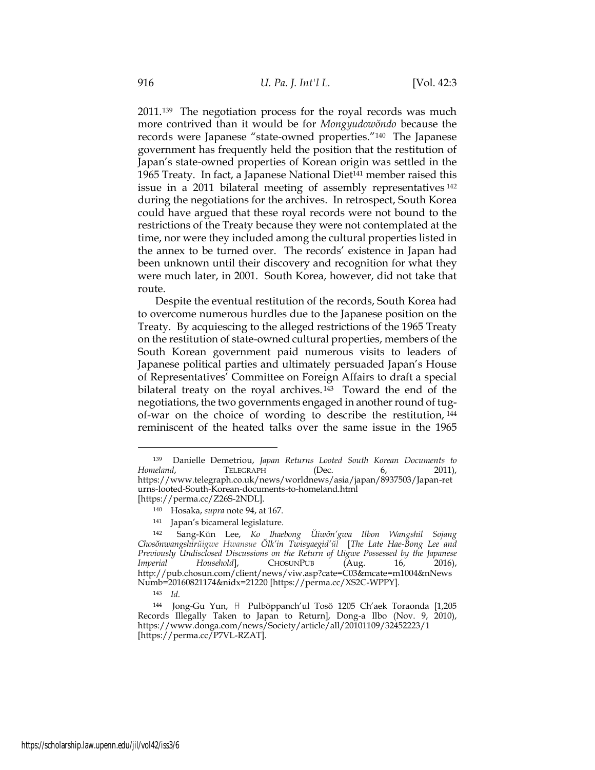2011.<sup>139</sup> The negotiation process for the royal records was much more contrived than it would be for *Mongyudowŏndo* because the records were Japanese "state-owned properties."<sup>140</sup> The Japanese government has frequently held the position that the restitution of Japan's state-owned properties of Korean origin was settled in the 1965 Treaty. In fact, a Japanese National Diet<sup>141</sup> member raised this issue in a 2011 bilateral meeting of assembly representatives <sup>142</sup> during the negotiations for the archives. In retrospect, South Korea could have argued that these royal records were not bound to the restrictions of the Treaty because they were not contemplated at the time, nor were they included among the cultural properties listed in the annex to be turned over. The records' existence in Japan had been unknown until their discovery and recognition for what they were much later, in 2001. South Korea, however, did not take that route.

Despite the eventual restitution of the records, South Korea had to overcome numerous hurdles due to the Japanese position on the Treaty. By acquiescing to the alleged restrictions of the 1965 Treaty on the restitution of state-owned cultural properties, members of the South Korean government paid numerous visits to leaders of Japanese political parties and ultimately persuaded Japan's House of Representatives' Committee on Foreign Affairs to draft a special bilateral treaty on the royal archives. <sup>143</sup> Toward the end of the negotiations, the two governments engaged in another round of tugof-war on the choice of wording to describe the restitution, <sup>144</sup> reminiscent of the heated talks over the same issue in the 1965

<sup>139</sup> Danielle Demetriou, *Japan Returns Looted South Korean Documents to Homeland*, **TELEGRAPH** (Dec. 6, 2011), https://www.telegraph.co.uk/news/worldnews/asia/japan/8937503/Japan-ret urns-looted-South-Korean-documents-to-homeland.html [https://perma.cc/Z26S-2NDL].

<sup>140</sup> Hosaka, *supra* note 94, at 167.

<sup>141</sup> Japan's bicameral legislature.

<sup>142</sup> Sang-Kŭn Lee, *Ko Ihaebong Ŭiwŏn'gwa Ilbon Wangshil Sojang Chosŏnwangshirŭigwe Hwansue Ŏlk'in Twisyaegid'ŭl* [*The Late Hae-Bong Lee and Previously Undisclosed Discussions on the Return of Uigwe Possessed by the Japanese Imperial Household*], CHOSUNPUB (Aug. 16, 2016), http://pub.chosun.com/client/news/viw.asp?cate=C03&mcate=m1004&nNews Numb=20160821174&nidx=21220 [https://perma.cc/XS2C-WPPY].

<sup>143</sup> *Id.*

<sup>144</sup> Jong-Gu Yun, 日 Pulbŏppanch'ul Tosŏ 1205 Ch'aek Toraonda [1,205 Records Illegally Taken to Japan to Return], Dong-a Ilbo (Nov. 9, 2010), https://www.donga.com/news/Society/article/all/20101109/32452223/1 [https://perma.cc/P7VL-RZAT].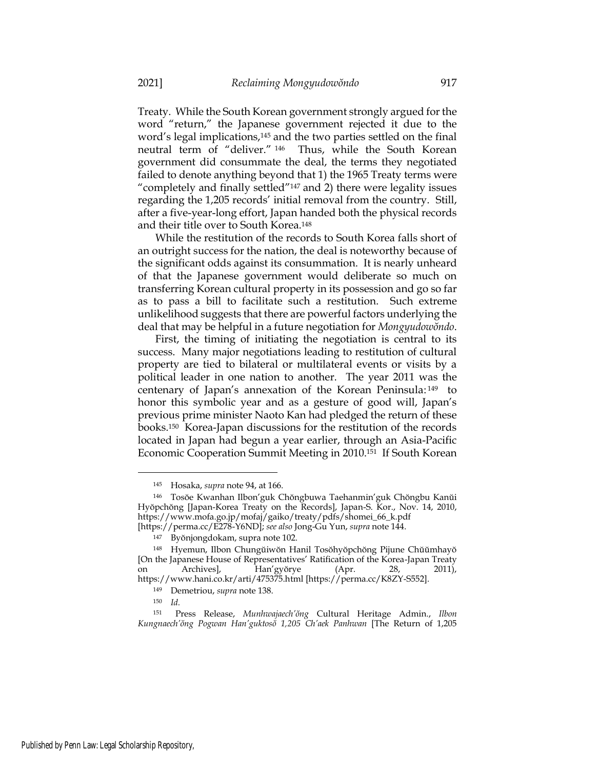Treaty. While the South Korean government strongly argued for the word "return," the Japanese government rejected it due to the word's legal implications,<sup>145</sup> and the two parties settled on the final neutral term of "deliver." <sup>146</sup> Thus, while the South Korean government did consummate the deal, the terms they negotiated failed to denote anything beyond that 1) the 1965 Treaty terms were "completely and finally settled"<sup>147</sup> and 2) there were legality issues regarding the 1,205 records' initial removal from the country. Still, after a five-year-long effort, Japan handed both the physical records and their title over to South Korea.<sup>148</sup>

While the restitution of the records to South Korea falls short of an outright success for the nation, the deal is noteworthy because of the significant odds against its consummation. It is nearly unheard of that the Japanese government would deliberate so much on transferring Korean cultural property in its possession and go so far as to pass a bill to facilitate such a restitution. Such extreme unlikelihood suggests that there are powerful factors underlying the deal that may be helpful in a future negotiation for *Mongyudowŏndo*.

First, the timing of initiating the negotiation is central to its success. Many major negotiations leading to restitution of cultural property are tied to bilateral or multilateral events or visits by a political leader in one nation to another. The year 2011 was the centenary of Japan's annexation of the Korean Peninsula: <sup>149</sup> to honor this symbolic year and as a gesture of good will, Japan's previous prime minister Naoto Kan had pledged the return of these books.<sup>150</sup> Korea-Japan discussions for the restitution of the records located in Japan had begun a year earlier, through an Asia-Pacific Economic Cooperation Summit Meeting in 2010.<sup>151</sup> If South Korean

<sup>145</sup> Hosaka, *supra* note 94, at 166.

<sup>146</sup> Tosŏe Kwanhan Ilbon'guk Chŏngbuwa Taehanmin'guk Chŏngbu Kanŭi Hyŏpchŏng [Japan-Korea Treaty on the Records], Japan-S. Kor., Nov. 14, 2010, https://www.mofa.go.jp/mofaj/gaiko/treaty/pdfs/shomei\_66\_k.pdf [https://perma.cc/E278-Y6ND]; *see also* Jong-Gu Yun, *supra* note 144.

<sup>147</sup> Byŏnjongdokam, supra note 102.

<sup>148</sup> Hyemun, Ilbon Chungŭiwŏn Hanil Tosŏhyŏpchŏng Pijune Chŭŭmhayŏ [On the Japanese House of Representatives' Ratification of the Korea-Japan Treaty on Archives], Han'gyŏrye (Apr. 28, 2011), https://www.hani.co.kr/arti/475375.html [https://perma.cc/K8ZY-S552].

<sup>149</sup> Demetriou, *supra* note 138.

<sup>150</sup> *Id.*

<sup>151</sup> Press Release, *Munhwajaech'ŏng* Cultural Heritage Admin., *Ilbon Kungnaech'ŏng Pogwan Han'guktosŏ 1,205 Ch'aek Panhwan* [The Return of 1,205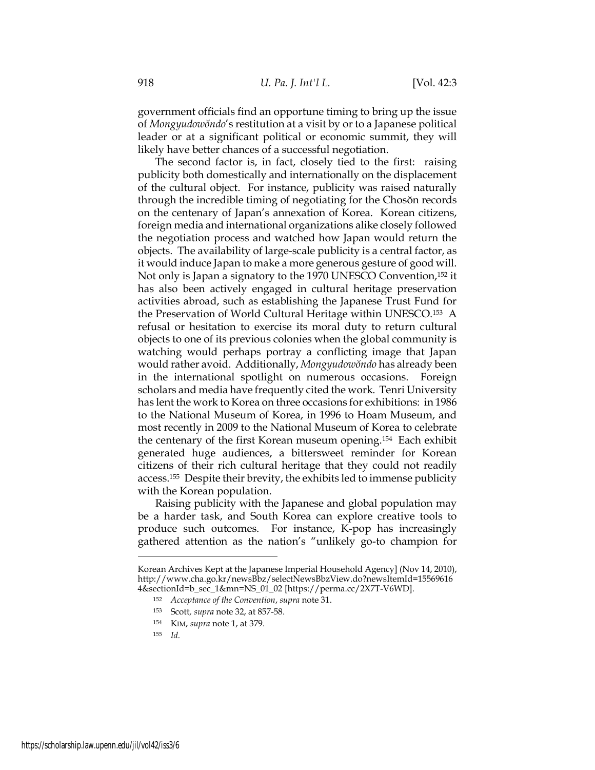government officials find an opportune timing to bring up the issue of *Mongyudowŏndo*'s restitution at a visit by or to a Japanese political leader or at a significant political or economic summit, they will likely have better chances of a successful negotiation.

The second factor is, in fact, closely tied to the first: raising publicity both domestically and internationally on the displacement of the cultural object. For instance, publicity was raised naturally through the incredible timing of negotiating for the Chosŏn records on the centenary of Japan's annexation of Korea. Korean citizens, foreign media and international organizations alike closely followed the negotiation process and watched how Japan would return the objects. The availability of large-scale publicity is a central factor, as it would induce Japan to make a more generous gesture of good will. Not only is Japan a signatory to the 1970 UNESCO Convention,<sup>152</sup> it has also been actively engaged in cultural heritage preservation activities abroad, such as establishing the Japanese Trust Fund for the Preservation of World Cultural Heritage within UNESCO.<sup>153</sup> A refusal or hesitation to exercise its moral duty to return cultural objects to one of its previous colonies when the global community is watching would perhaps portray a conflicting image that Japan would rather avoid. Additionally, *Mongyudowŏndo* has already been in the international spotlight on numerous occasions. Foreign scholars and media have frequently cited the work. Tenri University has lent the work to Korea on three occasions for exhibitions: in 1986 to the National Museum of Korea, in 1996 to Hoam Museum, and most recently in 2009 to the National Museum of Korea to celebrate the centenary of the first Korean museum opening.<sup>154</sup> Each exhibit generated huge audiences, a bittersweet reminder for Korean citizens of their rich cultural heritage that they could not readily access.<sup>155</sup> Despite their brevity, the exhibits led to immense publicity with the Korean population.

Raising publicity with the Japanese and global population may be a harder task, and South Korea can explore creative tools to produce such outcomes. For instance, K-pop has increasingly gathered attention as the nation's "unlikely go-to champion for

Korean Archives Kept at the Japanese Imperial Household Agency] (Nov 14, 2010), http://www.cha.go.kr/newsBbz/selectNewsBbzView.do?newsItemId=15569616 4&sectionId=b\_sec\_1&mn=NS\_01\_02 [https://perma.cc/2X7T-V6WD].

<sup>152</sup> *Acceptance of the Convention*, *supra* note 31.

<sup>153</sup> Scott*, supra* note 32, at 857-58.

<sup>154</sup> KIM, *supra* note 1, at 379.

<sup>155</sup> *Id.*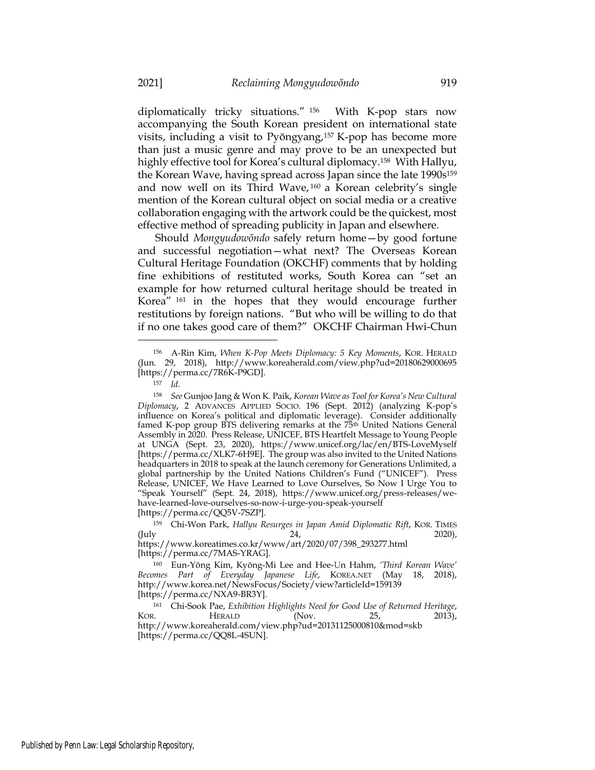diplomatically tricky situations." <sup>156</sup> With K-pop stars now accompanying the South Korean president on international state visits, including a visit to Pyŏngyang,<sup>157</sup> K-pop has become more than just a music genre and may prove to be an unexpected but highly effective tool for Korea's cultural diplomacy.<sup>158</sup> With Hallyu, the Korean Wave, having spread across Japan since the late 1990s<sup>159</sup> and now well on its Third Wave, <sup>160</sup> a Korean celebrity's single mention of the Korean cultural object on social media or a creative collaboration engaging with the artwork could be the quickest, most effective method of spreading publicity in Japan and elsewhere.

Should *Mongyudowŏndo* safely return home—by good fortune and successful negotiation—what next? The Overseas Korean Cultural Heritage Foundation (OKCHF) comments that by holding fine exhibitions of restituted works, South Korea can "set an example for how returned cultural heritage should be treated in Korea" <sup>161</sup> in the hopes that they would encourage further restitutions by foreign nations. "But who will be willing to do that if no one takes good care of them?" OKCHF Chairman Hwi-Chun

<sup>156</sup> A-Rin Kim, *When K-Pop Meets Diplomacy: 5 Key Moments*, KOR. HERALD (Jun. 29, 2018), http://www.koreaherald.com/view.php?ud=20180629000695 [https://perma.cc/7R6K-P9GD].

<sup>157</sup> *Id.*

<sup>158</sup> *See* Gunjoo Jang & Won K. Paik, *Korean Wave as Tool for Korea's New Cultural Diplomacy*, 2 ADVANCES APPLIED SOCIO. 196 (Sept. 2012) (analyzing K-pop's influence on Korea's political and diplomatic leverage). Consider additionally famed K-pop group BTS delivering remarks at the 75th United Nations General Assembly in 2020. Press Release, UNICEF, BTS Heartfelt Message to Young People at UNGA (Sept. 23, 2020), https://www.unicef.org/lac/en/BTS-LoveMyself [https://perma.cc/XLK7-6H9E]. The group was also invited to the United Nations headquarters in 2018 to speak at the launch ceremony for Generations Unlimited, a global partnership by the United Nations Children's Fund ("UNICEF"). Press Release, UNICEF, We Have Learned to Love Ourselves, So Now I Urge You to "Speak Yourself" (Sept. 24, 2018), https://www.unicef.org/press-releases/wehave-learned-love-ourselves-so-now-i-urge-you-speak-yourself [https://perma.cc/QQ5V-7SZP].

<sup>159</sup> Chi-Won Park, *Hallyu Resurges in Japan Amid Diplomatic Rift*, KOR. TIMES (July 24, 2020),

https://www.koreatimes.co.kr/www/art/2020/07/398\_293277.html [https://perma.cc/7MAS-YRAG].

<sup>160</sup> Eun-Yŏng Kim, Kyŏng-Mi Lee and Hee-Un Hahm, *'Third Korean Wave' Becomes Part of Everyday Japanese Life*, KOREA.NET (May 18, 2018), http://www.korea.net/NewsFocus/Society/view?articleId=159139 [https://perma.cc/NXA9-BR3Y].

<sup>161</sup> Chi-Sook Pae, *Exhibition Highlights Need for Good Use of Returned Heritage*, KOR. HERALD (Nov. 25, 2013), http://www.koreaherald.com/view.php?ud=20131125000810&mod=skb [https://perma.cc/QQ8L-4SUN].